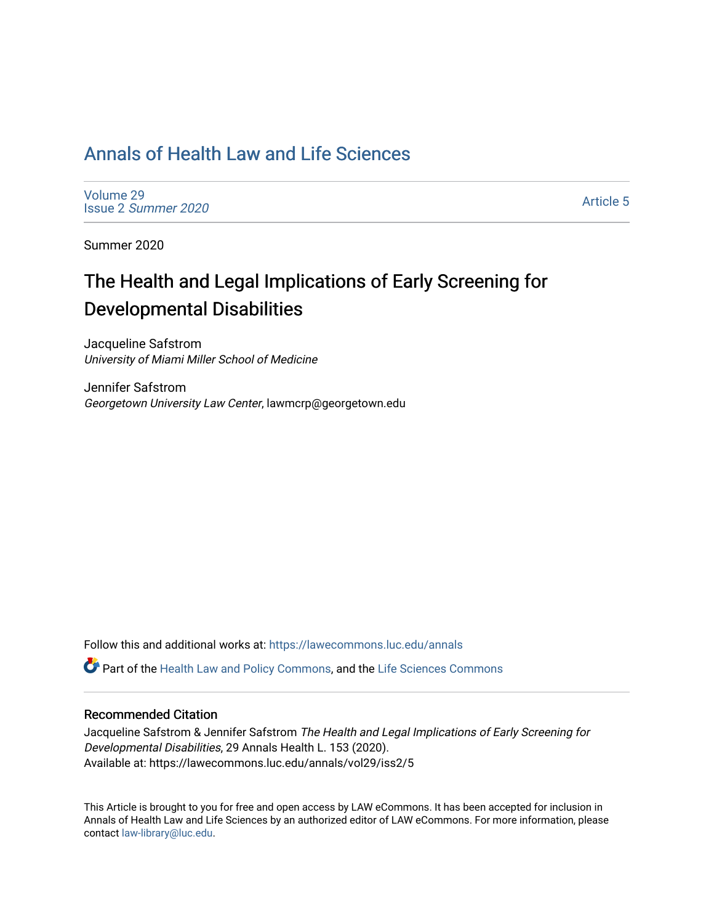# [Annals of Health Law and Life Sciences](https://lawecommons.luc.edu/annals)

[Volume 29](https://lawecommons.luc.edu/annals/vol29) Issue 2 [Summer 2020](https://lawecommons.luc.edu/annals/vol29/iss2) 

[Article 5](https://lawecommons.luc.edu/annals/vol29/iss2/5) 

Summer 2020

# The Health and Legal Implications of Early Screening for Developmental Disabilities

Jacqueline Safstrom University of Miami Miller School of Medicine

Jennifer Safstrom Georgetown University Law Center, lawmcrp@georgetown.edu

Follow this and additional works at: [https://lawecommons.luc.edu/annals](https://lawecommons.luc.edu/annals?utm_source=lawecommons.luc.edu%2Fannals%2Fvol29%2Fiss2%2F5&utm_medium=PDF&utm_campaign=PDFCoverPages)

Part of the [Health Law and Policy Commons](http://network.bepress.com/hgg/discipline/901?utm_source=lawecommons.luc.edu%2Fannals%2Fvol29%2Fiss2%2F5&utm_medium=PDF&utm_campaign=PDFCoverPages), and the [Life Sciences Commons](http://network.bepress.com/hgg/discipline/1016?utm_source=lawecommons.luc.edu%2Fannals%2Fvol29%2Fiss2%2F5&utm_medium=PDF&utm_campaign=PDFCoverPages) 

## Recommended Citation

Jacqueline Safstrom & Jennifer Safstrom The Health and Legal Implications of Early Screening for Developmental Disabilities, 29 Annals Health L. 153 (2020). Available at: https://lawecommons.luc.edu/annals/vol29/iss2/5

This Article is brought to you for free and open access by LAW eCommons. It has been accepted for inclusion in Annals of Health Law and Life Sciences by an authorized editor of LAW eCommons. For more information, please contact [law-library@luc.edu.](mailto:law-library@luc.edu)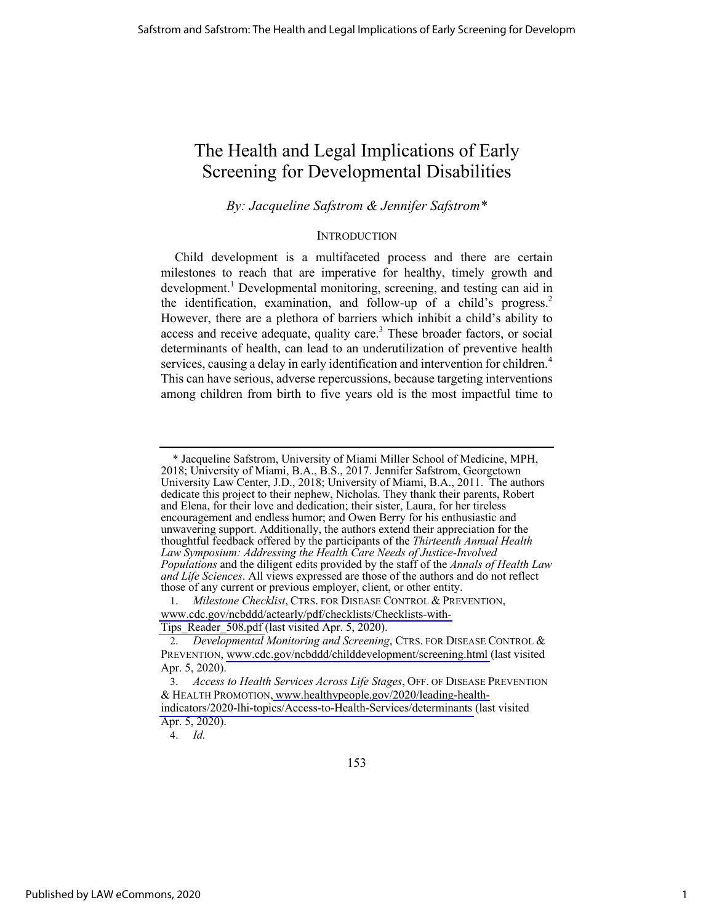# The Health and Legal Implications of Early Screening for Developmental Disabilities

*By: Jacqueline Safstrom & Jennifer Safstrom\** 

#### **INTRODUCTION**

Child development is a multifaceted process and there are certain milestones to reach that are imperative for healthy, timely growth and development.<sup>1</sup> Developmental monitoring, screening, and testing can aid in the identification, examination, and follow-up of a child's progress.<sup>2</sup> However, there are a plethora of barriers which inhibit a child's ability to access and receive adequate, quality care.<sup>3</sup> These broader factors, or social determinants of health, can lead to an underutilization of preventive health services, causing a delay in early identification and intervention for children.<sup>4</sup> This can have serious, adverse repercussions, because targeting interventions among children from birth to five years old is the most impactful time to

 <sup>\*</sup> Jacqueline Safstrom, University of Miami Miller School of Medicine, MPH, 2018; University of Miami, B.A., B.S., 2017. Jennifer Safstrom, Georgetown University Law Center, J.D., 2018; University of Miami, B.A., 2011. The authors dedicate this project to their nephew, Nicholas. They thank their parents, Robert and Elena, for their love and dedication; their sister, Laura, for her tireless encouragement and endless humor; and Owen Berry for his enthusiastic and unwavering support. Additionally, the authors extend their appreciation for the thoughtful feedback offered by the participants of the *Thirteenth Annual Health Law Symposium: Addressing the Health Care Needs of Justice-Involved Populations* and the diligent edits provided by the staff of the *Annals of Health Law and Life Sciences*. All views expressed are those of the authors and do not reflect those of any current or previous employer, client, or other entity.

<sup>1.</sup> *Milestone Checklist*, CTRS. FOR DISEASE CONTROL & PREVENTION, [www.cdc.gov/ncbddd/actearly/pdf/checklists/Checklists-with-](http://www.cdc.gov/ncbddd/actearly/pdf/checklists/Checklists-with-Tips_Reader_508.pdf)[Tips\\_Reader\\_508.pdf](http://www.cdc.gov/ncbddd/actearly/pdf/checklists/Checklists-with-Tips_Reader_508.pdf) (last visited Apr. 5, 2020).

<sup>2.</sup> *Developmental Monitoring and Screening*, CTRS. FOR DISEASE CONTROL & PREVENTION, [www.cdc.gov/ncbddd/childdevelopment/screening.html](http://www.cdc.gov/ncbddd/childdevelopment/screening.html) (last visited Apr. 5, 2020).

<sup>3.</sup> *Access to Health Services Across Life Stages*, OFF. OF DISEASE PREVENTION & HEALTH PROMOTION, [www.healthypeople.gov/2020/leading-health](http://www.healthypeople.gov/2020/leading-health-indicators/2020-lhi-topics/Access-to-Health-Services/determinants)[indicators/2020-lhi-topics/Access-to-Health-Services/determinants](http://www.healthypeople.gov/2020/leading-health-indicators/2020-lhi-topics/Access-to-Health-Services/determinants) (last visited Apr. 5, 2020).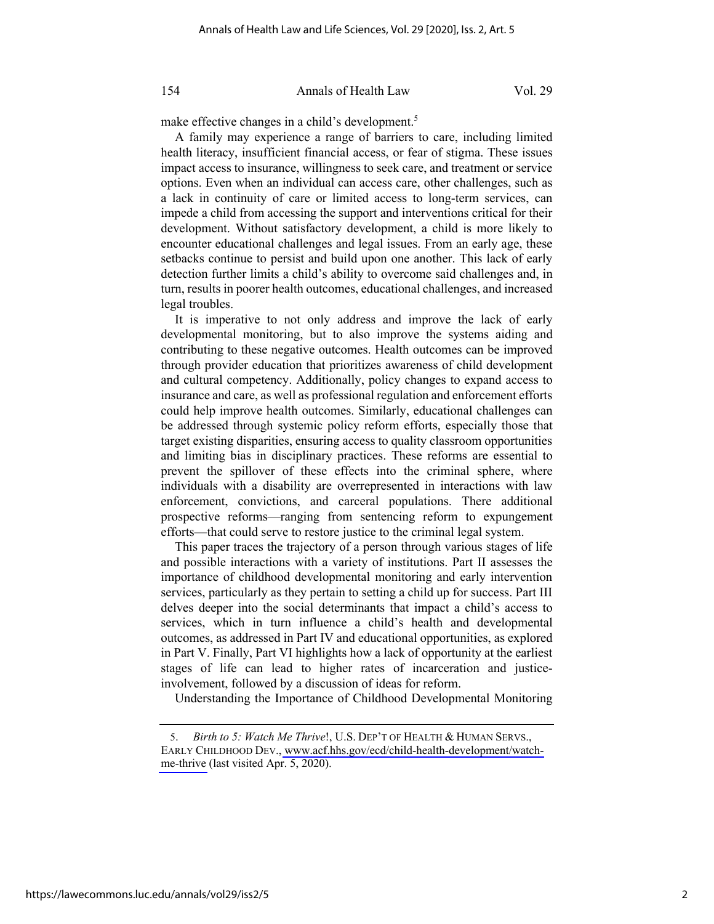make effective changes in a child's development.<sup>5</sup>

A family may experience a range of barriers to care, including limited health literacy, insufficient financial access, or fear of stigma. These issues impact access to insurance, willingness to seek care, and treatment or service options. Even when an individual can access care, other challenges, such as a lack in continuity of care or limited access to long-term services, can impede a child from accessing the support and interventions critical for their development. Without satisfactory development, a child is more likely to encounter educational challenges and legal issues. From an early age, these setbacks continue to persist and build upon one another. This lack of early detection further limits a child's ability to overcome said challenges and, in turn, results in poorer health outcomes, educational challenges, and increased legal troubles.

It is imperative to not only address and improve the lack of early developmental monitoring, but to also improve the systems aiding and contributing to these negative outcomes. Health outcomes can be improved through provider education that prioritizes awareness of child development and cultural competency. Additionally, policy changes to expand access to insurance and care, as well as professional regulation and enforcement efforts could help improve health outcomes. Similarly, educational challenges can be addressed through systemic policy reform efforts, especially those that target existing disparities, ensuring access to quality classroom opportunities and limiting bias in disciplinary practices. These reforms are essential to prevent the spillover of these effects into the criminal sphere, where individuals with a disability are overrepresented in interactions with law enforcement, convictions, and carceral populations. There additional prospective reforms—ranging from sentencing reform to expungement efforts—that could serve to restore justice to the criminal legal system.

This paper traces the trajectory of a person through various stages of life and possible interactions with a variety of institutions. Part II assesses the importance of childhood developmental monitoring and early intervention services, particularly as they pertain to setting a child up for success. Part III delves deeper into the social determinants that impact a child's access to services, which in turn influence a child's health and developmental outcomes, as addressed in Part IV and educational opportunities, as explored in Part V. Finally, Part VI highlights how a lack of opportunity at the earliest stages of life can lead to higher rates of incarceration and justiceinvolvement, followed by a discussion of ideas for reform.

Understanding the Importance of Childhood Developmental Monitoring

<sup>5.</sup> *Birth to 5: Watch Me Thrive*!, U.S. DEP'T OF HEALTH & HUMAN SERVS., EARLY CHILDHOOD DEV., [www.acf.hhs.gov/ecd/child-health-development/watch](http://www.acf.hhs.gov/ecd/child-health-development/watch-me-thrive)[me-thrive](http://www.acf.hhs.gov/ecd/child-health-development/watch-me-thrive) (last visited Apr. 5, 2020).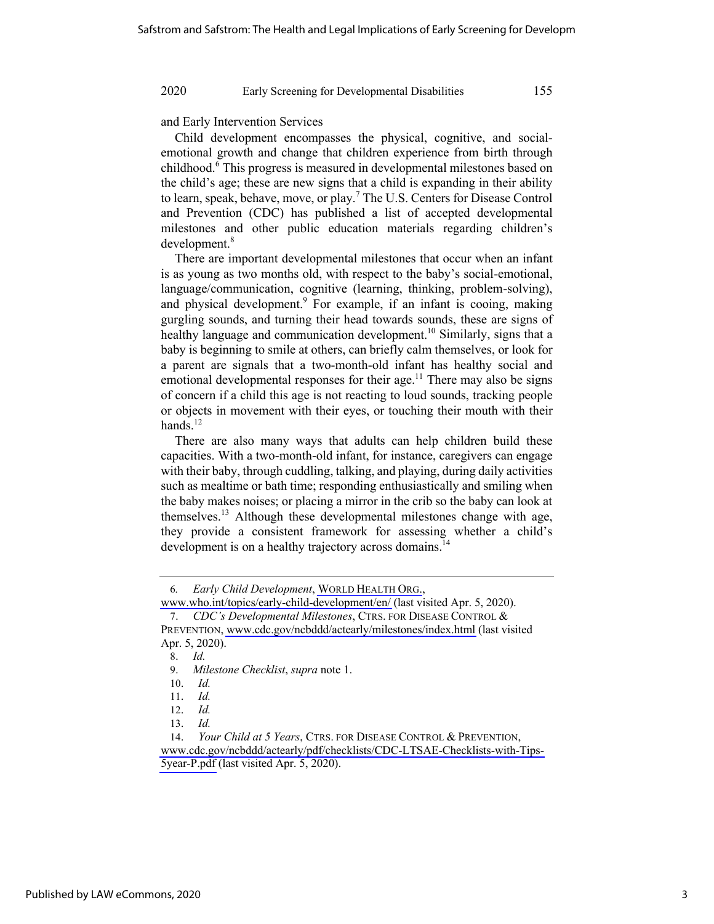and Early Intervention Services

Child development encompasses the physical, cognitive, and socialemotional growth and change that children experience from birth through childhood.<sup>6</sup> This progress is measured in developmental milestones based on the child's age; these are new signs that a child is expanding in their ability to learn, speak, behave, move, or play.<sup>7</sup> The U.S. Centers for Disease Control and Prevention (CDC) has published a list of accepted developmental milestones and other public education materials regarding children's development.<sup>8</sup>

There are important developmental milestones that occur when an infant is as young as two months old, with respect to the baby's social-emotional, language/communication, cognitive (learning, thinking, problem-solving), and physical development. $9$  For example, if an infant is cooing, making gurgling sounds, and turning their head towards sounds, these are signs of healthy language and communication development.<sup>10</sup> Similarly, signs that a baby is beginning to smile at others, can briefly calm themselves, or look for a parent are signals that a two-month-old infant has healthy social and emotional developmental responses for their age.<sup>11</sup> There may also be signs of concern if a child this age is not reacting to loud sounds, tracking people or objects in movement with their eyes, or touching their mouth with their hands. $^{12}$ 

There are also many ways that adults can help children build these capacities. With a two-month-old infant, for instance, caregivers can engage with their baby, through cuddling, talking, and playing, during daily activities such as mealtime or bath time; responding enthusiastically and smiling when the baby makes noises; or placing a mirror in the crib so the baby can look at themselves.13 Although these developmental milestones change with age, they provide a consistent framework for assessing whether a child's development is on a healthy trajectory across domains.<sup>14</sup>

<sup>6</sup>*. Early Child Development*, [WORLD HEALTH ORG.](http://WORLDHEALTH.ORG),

[www.who.int/topics/early-child-development/en/](http://www.who.int/topics/early-child-development/en/) (last visited Apr. 5, 2020). 7. *CDC's Developmental Milestones*, CTRS. FOR DISEASE CONTROL &

PREVENTION, [www.cdc.gov/ncbddd/actearly/milestones/index.html](http://www.cdc.gov/ncbddd/actearly/milestones/index.html) (last visited Apr. 5, 2020).

<sup>8.</sup> *Id.*

<sup>9.</sup> *Milestone Checklist*, *supra* note 1.

<sup>10.</sup> *Id.*

<sup>11.</sup> *Id.*

<sup>12.</sup> *Id.*

<sup>13.</sup> *Id.*

<sup>14.</sup> *Your Child at 5 Years*, CTRS. FOR DISEASE CONTROL & PREVENTION, [www.cdc.gov/ncbddd/actearly/pdf/checklists/CDC-LTSAE-Checklists-with-Tips-](http://www.cdc.gov/ncbddd/actearly/pdf/checklists/CDC-LTSAE-Checklists-with-Tips-5year-P.pdf)[5year-P.pdf](http://www.cdc.gov/ncbddd/actearly/pdf/checklists/CDC-LTSAE-Checklists-with-Tips-5year-P.pdf) (last visited Apr. 5, 2020).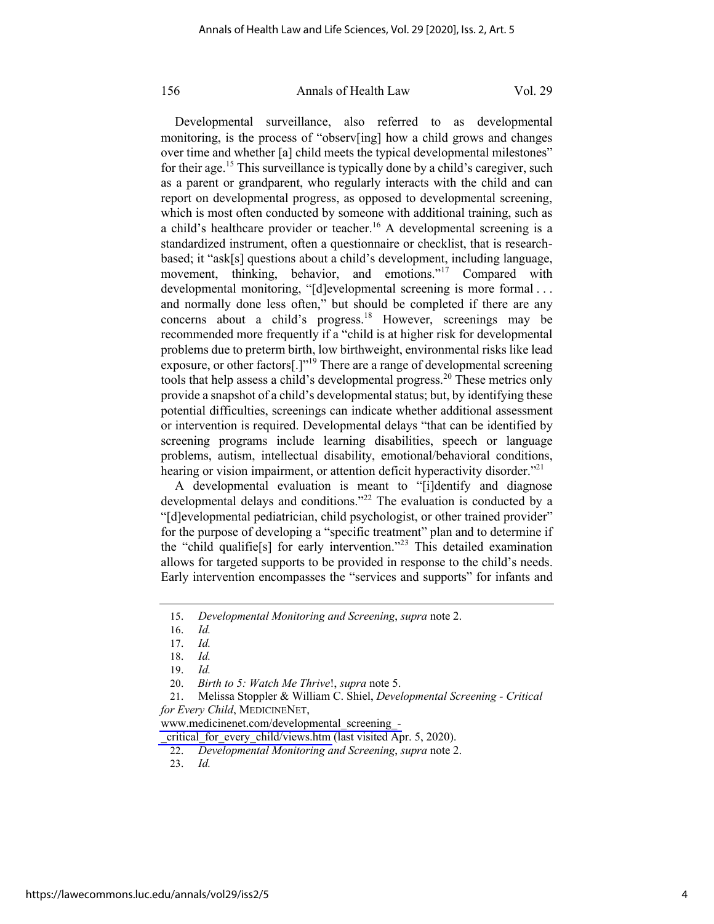Developmental surveillance, also referred to as developmental monitoring, is the process of "observ[ing] how a child grows and changes over time and whether [a] child meets the typical developmental milestones" for their age.<sup>15</sup> This surveillance is typically done by a child's caregiver, such as a parent or grandparent, who regularly interacts with the child and can report on developmental progress, as opposed to developmental screening, which is most often conducted by someone with additional training, such as a child's healthcare provider or teacher.<sup>16</sup> A developmental screening is a standardized instrument, often a questionnaire or checklist, that is researchbased; it "ask[s] questions about a child's development, including language, movement, thinking, behavior, and emotions."<sup>17</sup> Compared with developmental monitoring, "[d]evelopmental screening is more formal ... and normally done less often," but should be completed if there are any concerns about a child's progress.<sup>18</sup> However, screenings may be recommended more frequently if a "child is at higher risk for developmental problems due to preterm birth, low birthweight, environmental risks like lead exposure, or other factors[.] $"$ <sup>19</sup> There are a range of developmental screening tools that help assess a child's developmental progress.<sup>20</sup> These metrics only provide a snapshot of a child's developmental status; but, by identifying these potential difficulties, screenings can indicate whether additional assessment or intervention is required. Developmental delays "that can be identified by screening programs include learning disabilities, speech or language problems, autism, intellectual disability, emotional/behavioral conditions, hearing or vision impairment, or attention deficit hyperactivity disorder. $2^{21}$ 

A developmental evaluation is meant to "[i]dentify and diagnose developmental delays and conditions."<sup>22</sup> The evaluation is conducted by a "[d]evelopmental pediatrician, child psychologist, or other trained provider" for the purpose of developing a "specific treatment" plan and to determine if the "child qualifie[s] for early intervention."<sup>23</sup> This detailed examination allows for targeted supports to be provided in response to the child's needs. Early intervention encompasses the "services and supports" for infants and

21. Melissa Stoppler & William C. Shiel, *Developmental Screening - Critical for Every Child*, MEDICINENET,

[www.medicinenet.com/developmental\\_screening\\_-](http://www.medicinenet.com/developmental_screening_-_critical_for_every_child/views.htm)

critical for every child/views.htm (last visited Apr. 5, 2020).

<sup>15.</sup> *Developmental Monitoring and Screening*, *supra* note 2.

<sup>16.</sup> *Id.*

<sup>17.</sup> *Id.*

<sup>18.</sup> *Id.*

<sup>19.</sup> *Id.*

<sup>20.</sup> *Birth to 5: Watch Me Thrive*!, *supra* note 5.

<sup>22.</sup> *Developmental Monitoring and Screening*, *supra* note 2.

<sup>23.</sup> *Id.*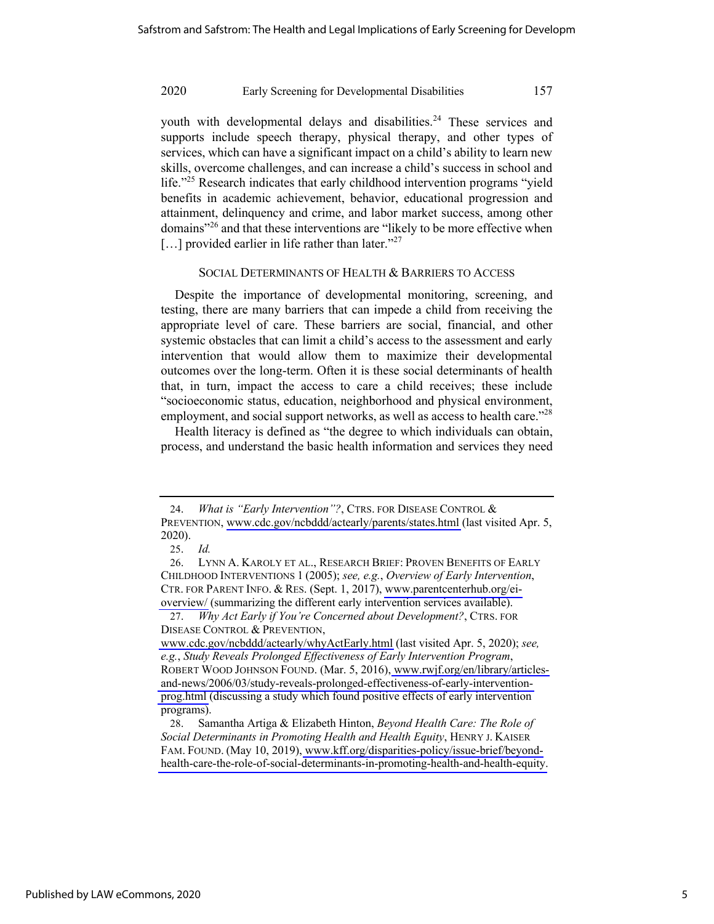youth with developmental delays and disabilities.<sup>24</sup> These services and supports include speech therapy, physical therapy, and other types of services, which can have a significant impact on a child's ability to learn new skills, overcome challenges, and can increase a child's success in school and life."<sup>25</sup> Research indicates that early childhood intervention programs "yield benefits in academic achievement, behavior, educational progression and attainment, delinquency and crime, and labor market success, among other domains"<sup>26</sup> and that these interventions are "likely to be more effective when [...] provided earlier in life rather than later."<sup>27</sup>

#### SOCIAL DETERMINANTS OF HEALTH & BARRIERS TO ACCESS

Despite the importance of developmental monitoring, screening, and testing, there are many barriers that can impede a child from receiving the appropriate level of care. These barriers are social, financial, and other systemic obstacles that can limit a child's access to the assessment and early intervention that would allow them to maximize their developmental outcomes over the long-term. Often it is these social determinants of health that, in turn, impact the access to care a child receives; these include "socioeconomic status, education, neighborhood and physical environment, employment, and social support networks, as well as access to health care."<sup>28</sup>

Health literacy is defined as "the degree to which individuals can obtain, process, and understand the basic health information and services they need

<sup>24.</sup> *What is "Early Intervention"?*, CTRS. FOR DISEASE CONTROL & PREVENTION, [www.cdc.gov/ncbddd/actearly/parents/states.html](http://www.cdc.gov/ncbddd/actearly/parents/states.html) (last visited Apr. 5, 2020).

<sup>25.</sup> *Id.*

<sup>26.</sup> LYNN A. KAROLY ET AL., RESEARCH BRIEF: PROVEN BENEFITS OF EARLY CHILDHOOD INTERVENTIONS 1 (2005); *see, e.g.*, *Overview of Early Intervention*, CTR. FOR PARENT INFO. & RES. (Sept. 1, 2017), [www.parentcenterhub.org/ei](http://www.parentcenterhub.org/ei-overview/)[overview/](http://www.parentcenterhub.org/ei-overview/) (summarizing the different early intervention services available).

<sup>27.</sup> *Why Act Early if You're Concerned about Development?*, CTRS. FOR DISEASE CONTROL & PREVENTION,

[www.cdc.gov/ncbddd/actearly/whyActEarly.html](http://www.cdc.gov/ncbddd/actearly/whyActEarly.html) (last visited Apr. 5, 2020); *see, e.g.*, *Study Reveals Prolonged Effectiveness of Early Intervention Program*, ROBERT WOOD JOHNSON FOUND. (Mar. 5, 2016), [www.rwjf.org/en/library/articles](http://www.rwjf.org/en/library/articles-and-news/2006/03/study-reveals-prolonged-effectiveness-of-early-intervention-prog.html)[and-news/2006/03/study-reveals-prolonged-effectiveness-of-early-intervention](http://www.rwjf.org/en/library/articles-and-news/2006/03/study-reveals-prolonged-effectiveness-of-early-intervention-prog.html)[prog.html](http://www.rwjf.org/en/library/articles-and-news/2006/03/study-reveals-prolonged-effectiveness-of-early-intervention-prog.html) (discussing a study which found positive effects of early intervention programs).

<sup>28.</sup> Samantha Artiga & Elizabeth Hinton, *Beyond Health Care: The Role of Social Determinants in Promoting Health and Health Equity*, HENRY J. KAISER FAM. FOUND. (May 10, 2019), [www.kff.org/disparities-policy/issue-brief/beyond](http://www.kff.org/disparities-policy/issue-brief/beyond-health-care-the-role-of-social-determinants-in-promoting-health-and-health-equity)[health-care-the-role-of-social-determinants-in-promoting-health-and-health-equity.](http://www.kff.org/disparities-policy/issue-brief/beyond-health-care-the-role-of-social-determinants-in-promoting-health-and-health-equity)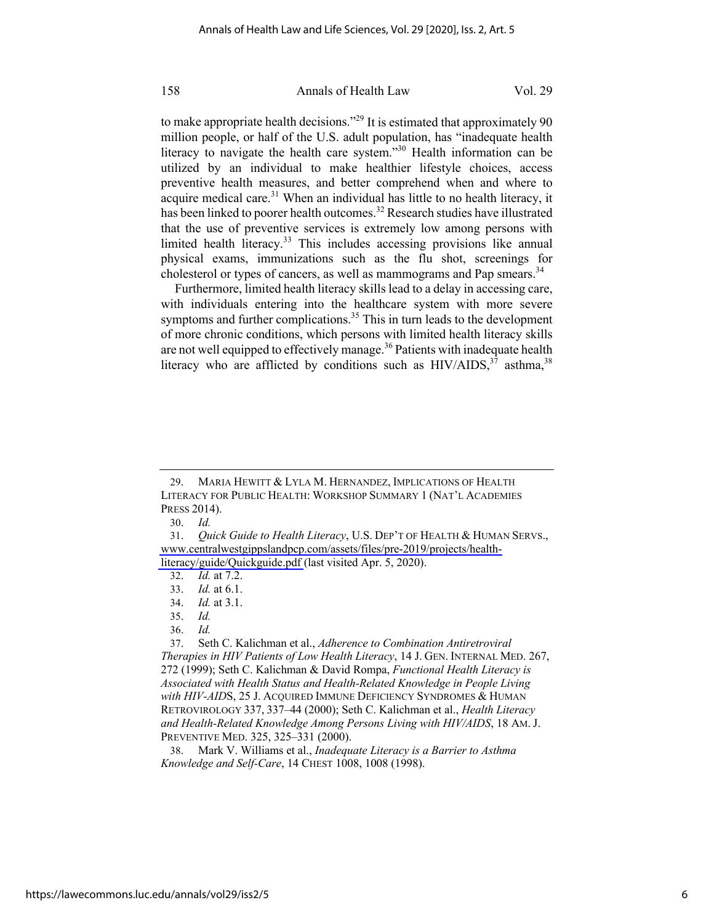to make appropriate health decisions."<sup>29</sup> It is estimated that approximately 90 million people, or half of the U.S. adult population, has "inadequate health literacy to navigate the health care system."<sup>30</sup> Health information can be utilized by an individual to make healthier lifestyle choices, access preventive health measures, and better comprehend when and where to acquire medical care. $31$  When an individual has little to no health literacy, it has been linked to poorer health outcomes.<sup>32</sup> Research studies have illustrated that the use of preventive services is extremely low among persons with limited health literacy. $33$  This includes accessing provisions like annual physical exams, immunizations such as the flu shot, screenings for cholesterol or types of cancers, as well as mammograms and Pap smears.<sup>34</sup>

Furthermore, limited health literacy skills lead to a delay in accessing care, with individuals entering into the healthcare system with more severe symptoms and further complications. $35$  This in turn leads to the development of more chronic conditions, which persons with limited health literacy skills are not well equipped to effectively manage.<sup>36</sup> Patients with inadequate health literacy who are afflicted by conditions such as  $HIV/ALDS$ ,<sup>37</sup> asthma,<sup>38</sup>

38. Mark V. Williams et al., *Inadequate Literacy is a Barrier to Asthma Knowledge and Self-Care*, 14 CHEST 1008, 1008 (1998).

<sup>29.</sup> MARIA HEWITT & LYLA M. HERNANDEZ, IMPLICATIONS OF HEALTH LITERACY FOR PUBLIC HEALTH: WORKSHOP SUMMARY 1 (NAT'L ACADEMIES PRESS 2014).

<sup>30.</sup> *Id.*

<sup>31.</sup> *Quick Guide to Health Literacy*, U.S. DEP'T OF HEALTH & HUMAN SERVS., [www.centralwestgippslandpcp.com/assets/files/pre-2019/projects/health](http://www.centralwestgippslandpcp.com/assets/files/pre-2019/projects/health-literacy/guide/Quickguide.pdf)[literacy/guide/Quickguide.pdf](http://www.centralwestgippslandpcp.com/assets/files/pre-2019/projects/health-literacy/guide/Quickguide.pdf) (last visited Apr. 5, 2020).

<sup>32.</sup> *Id.* at 7.2.

<sup>33.</sup> *Id.* at 6.1.

<sup>34.</sup> *Id.* at 3.1.

<sup>35.</sup> *Id.*

<sup>36.</sup> *Id.*

<sup>37.</sup> Seth C. Kalichman et al., *Adherence to Combination Antiretroviral Therapies in HIV Patients of Low Health Literacy*, 14 J. GEN. INTERNAL MED. 267, 272 (1999); Seth C. Kalichman & David Rompa, *Functional Health Literacy is Associated with Health Status and Health-Related Knowledge in People Living with HIV-AID*S, 25 J. ACQUIRED IMMUNE DEFICIENCY SYNDROMES & HUMAN RETROVIROLOGY 337, 337–44 (2000); Seth C. Kalichman et al., *Health Literacy and Health-Related Knowledge Among Persons Living with HIV/AIDS*, 18 AM. J. PREVENTIVE MED. 325, 325–331 (2000).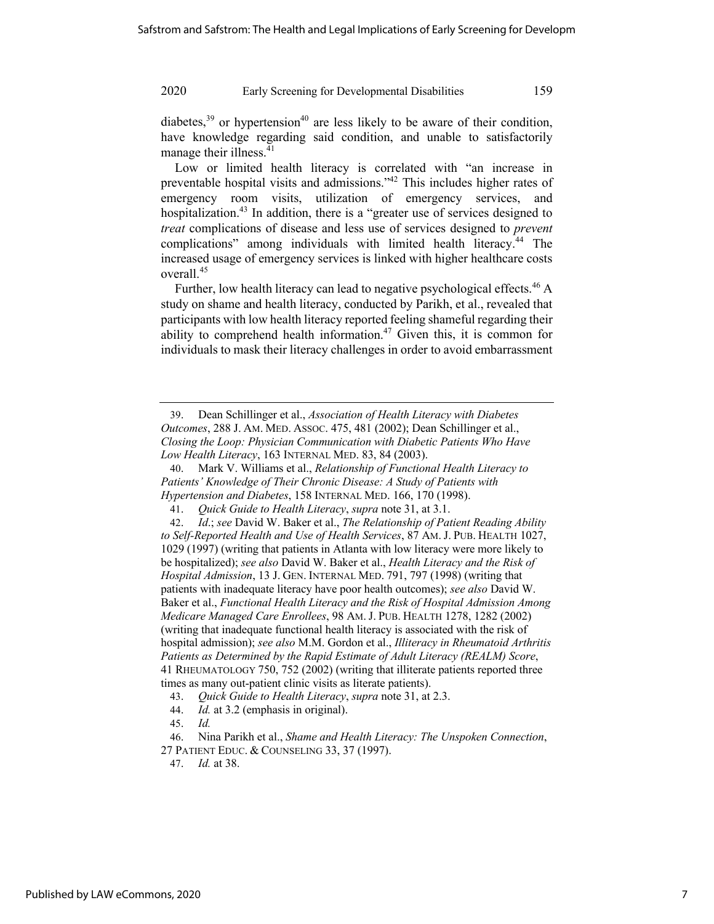diabetes,  $39$  or hypertension<sup>40</sup> are less likely to be aware of their condition, have knowledge regarding said condition, and unable to satisfactorily manage their illness.<sup>41</sup>

Low or limited health literacy is correlated with "an increase in preventable hospital visits and admissions."42 This includes higher rates of emergency room visits, utilization of emergency services, and hospitalization.<sup>43</sup> In addition, there is a "greater use of services designed to *treat* complications of disease and less use of services designed to *prevent* complications" among individuals with limited health literacy.<sup>44</sup> The increased usage of emergency services is linked with higher healthcare costs overall.<sup>45</sup>

Further, low health literacy can lead to negative psychological effects.<sup>46</sup> A study on shame and health literacy, conducted by Parikh, et al., revealed that participants with low health literacy reported feeling shameful regarding their ability to comprehend health information.<sup>47</sup> Given this, it is common for individuals to mask their literacy challenges in order to avoid embarrassment

- 44. *Id.* at 3.2 (emphasis in original).
- 45. *Id.*

47. *Id.* at 38.

<sup>39.</sup> Dean Schillinger et al., *Association of Health Literacy with Diabetes Outcomes*, 288 J. AM. MED. ASSOC. 475, 481 (2002); Dean Schillinger et al., *Closing the Loop: Physician Communication with Diabetic Patients Who Have Low Health Literacy*, 163 INTERNAL MED. 83, 84 (2003).

<sup>40.</sup> Mark V. Williams et al., *Relationship of Functional Health Literacy to Patients' Knowledge of Their Chronic Disease: A Study of Patients with Hypertension and Diabetes*, 158 INTERNAL MED. 166, 170 (1998).

<sup>41.</sup> *Quick Guide to Health Literacy*, *supra* note 31, at 3.1.

<sup>42.</sup> *Id*.; *see* David W. Baker et al., *The Relationship of Patient Reading Ability to Self-Reported Health and Use of Health Services*, 87 AM. J. PUB. HEALTH 1027, 1029 (1997) (writing that patients in Atlanta with low literacy were more likely to be hospitalized); *see also* David W. Baker et al., *Health Literacy and the Risk of Hospital Admission*, 13 J. GEN. INTERNAL MED. 791, 797 (1998) (writing that patients with inadequate literacy have poor health outcomes); *see also* David W. Baker et al., *Functional Health Literacy and the Risk of Hospital Admission Among Medicare Managed Care Enrollees*, 98 AM. J. PUB. HEALTH 1278, 1282 (2002) (writing that inadequate functional health literacy is associated with the risk of hospital admission); *see also* M.M. Gordon et al., *Illiteracy in Rheumatoid Arthritis Patients as Determined by the Rapid Estimate of Adult Literacy (REALM) Score*, 41 RHEUMATOLOGY 750, 752 (2002) (writing that illiterate patients reported three times as many out-patient clinic visits as literate patients).

<sup>43.</sup> *Quick Guide to Health Literacy*, *supra* note 31, at 2.3.

<sup>46.</sup> Nina Parikh et al., *Shame and Health Literacy: The Unspoken Connection*, 27 PATIENT EDUC. & COUNSELING 33, 37 (1997).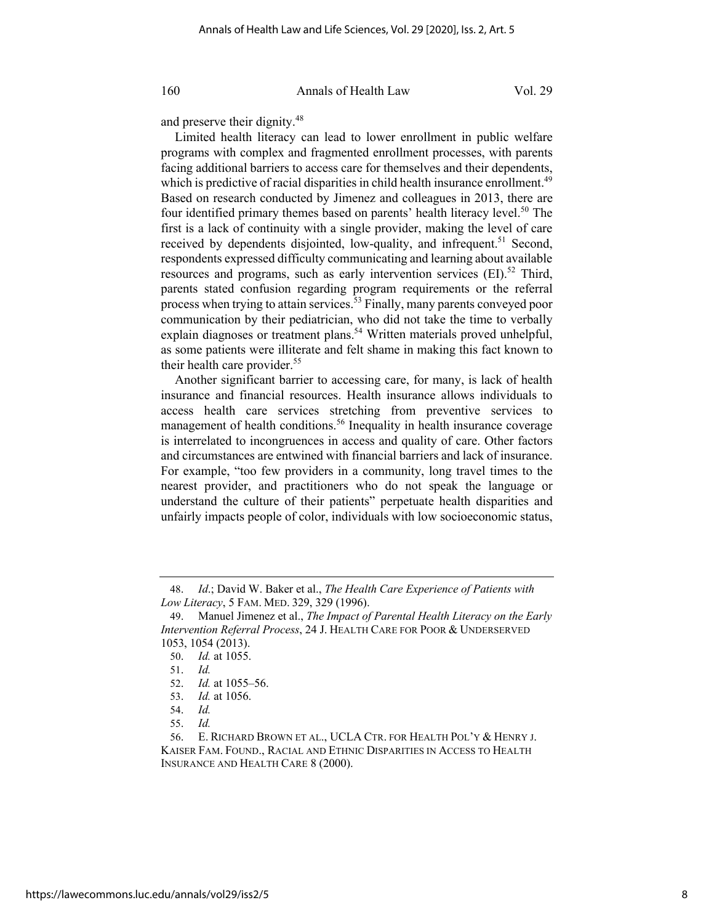and preserve their dignity.<sup>48</sup>

Limited health literacy can lead to lower enrollment in public welfare programs with complex and fragmented enrollment processes, with parents facing additional barriers to access care for themselves and their dependents, which is predictive of racial disparities in child health insurance enrollment.<sup>49</sup> Based on research conducted by Jimenez and colleagues in 2013, there are four identified primary themes based on parents' health literacy level.<sup>50</sup> The first is a lack of continuity with a single provider, making the level of care received by dependents disjointed, low-quality, and infrequent.<sup>51</sup> Second, respondents expressed difficulty communicating and learning about available resources and programs, such as early intervention services  $(EI)$ <sup>52</sup> Third, parents stated confusion regarding program requirements or the referral process when trying to attain services.<sup>53</sup> Finally, many parents conveyed poor communication by their pediatrician, who did not take the time to verbally explain diagnoses or treatment plans.<sup>54</sup> Written materials proved unhelpful, as some patients were illiterate and felt shame in making this fact known to their health care provider. $55$ 

Another significant barrier to accessing care, for many, is lack of health insurance and financial resources. Health insurance allows individuals to access health care services stretching from preventive services to management of health conditions.<sup>56</sup> Inequality in health insurance coverage is interrelated to incongruences in access and quality of care. Other factors and circumstances are entwined with financial barriers and lack of insurance. For example, "too few providers in a community, long travel times to the nearest provider, and practitioners who do not speak the language or understand the culture of their patients" perpetuate health disparities and unfairly impacts people of color, individuals with low socioeconomic status,

<sup>48.</sup> *Id*.; David W. Baker et al., *The Health Care Experience of Patients with Low Literacy*, 5 FAM. MED. 329, 329 (1996).

<sup>49.</sup> Manuel Jimenez et al., *The Impact of Parental Health Literacy on the Early Intervention Referral Process*, 24 J. HEALTH CARE FOR POOR & UNDERSERVED 1053, 1054 (2013).

<sup>50.</sup> *Id.* at 1055.

<sup>51.</sup> *Id.*

<sup>52.</sup> *Id.* at 1055–56.

<sup>53.</sup> *Id.* at 1056.

<sup>54.</sup> *Id.* 

<sup>55.</sup> *Id.*

<sup>56.</sup> E. RICHARD BROWN ET AL., UCLA CTR. FOR HEALTH POL'Y & HENRY J. KAISER FAM. FOUND., RACIAL AND ETHNIC DISPARITIES IN ACCESS TO HEALTH INSURANCE AND HEALTH CARE 8 (2000).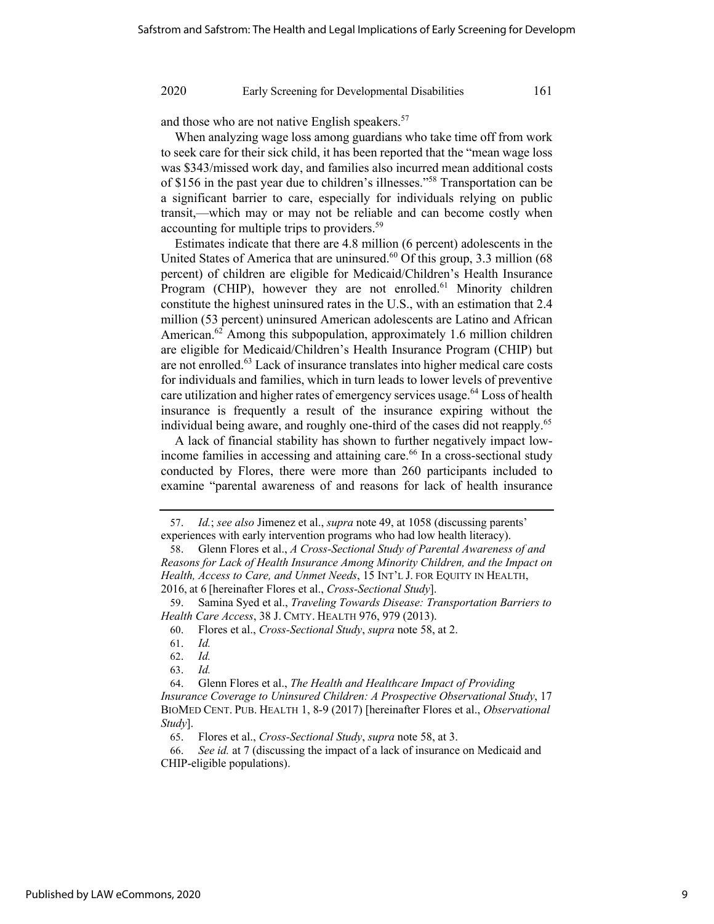and those who are not native English speakers.<sup>57</sup>

When analyzing wage loss among guardians who take time off from work to seek care for their sick child, it has been reported that the "mean wage loss was \$343/missed work day, and families also incurred mean additional costs of \$156 in the past year due to children's illnesses."58 Transportation can be a significant barrier to care, especially for individuals relying on public transit,—which may or may not be reliable and can become costly when accounting for multiple trips to providers.<sup>59</sup>

Estimates indicate that there are 4.8 million (6 percent) adolescents in the United States of America that are uninsured. $60$  Of this group, 3.3 million (68) percent) of children are eligible for Medicaid/Children's Health Insurance Program (CHIP), however they are not enrolled.<sup>61</sup> Minority children constitute the highest uninsured rates in the U.S., with an estimation that 2.4 million (53 percent) uninsured American adolescents are Latino and African American.<sup>62</sup> Among this subpopulation, approximately 1.6 million children are eligible for Medicaid/Children's Health Insurance Program (CHIP) but are not enrolled.<sup>63</sup> Lack of insurance translates into higher medical care costs for individuals and families, which in turn leads to lower levels of preventive care utilization and higher rates of emergency services usage.<sup>64</sup> Loss of health insurance is frequently a result of the insurance expiring without the individual being aware, and roughly one-third of the cases did not reapply.<sup>65</sup>

A lack of financial stability has shown to further negatively impact lowincome families in accessing and attaining care.<sup>66</sup> In a cross-sectional study conducted by Flores, there were more than 260 participants included to examine "parental awareness of and reasons for lack of health insurance

<sup>57.</sup> *Id.*; *see also* Jimenez et al., *supra* note 49, at 1058 (discussing parents'

experiences with early intervention programs who had low health literacy). 58. Glenn Flores et al., *A Cross-Sectional Study of Parental Awareness of and* 

*Reasons for Lack of Health Insurance Among Minority Children, and the Impact on Health, Access to Care, and Unmet Needs*, 15 INT'L J. FOR EQUITY IN HEALTH, 2016, at 6 [hereinafter Flores et al., *Cross-Sectional Study*].

<sup>59.</sup> Samina Syed et al., *Traveling Towards Disease: Transportation Barriers to Health Care Access*, 38 J. CMTY. HEALTH 976, 979 (2013).

<sup>60.</sup> Flores et al., *Cross-Sectional Study*, *supra* note 58, at 2.

<sup>61.</sup> *Id.* 

<sup>62.</sup> *Id.*

<sup>63.</sup> *Id.*

<sup>64.</sup> Glenn Flores et al., *The Health and Healthcare Impact of Providing Insurance Coverage to Uninsured Children: A Prospective Observational Study*, 17 BIOMED CENT. PUB. HEALTH 1, 8-9 (2017) [hereinafter Flores et al., *Observational Study*].

<sup>65.</sup> Flores et al., *Cross-Sectional Study*, *supra* note 58, at 3.

<sup>66.</sup> *See id.* at 7 (discussing the impact of a lack of insurance on Medicaid and CHIP-eligible populations).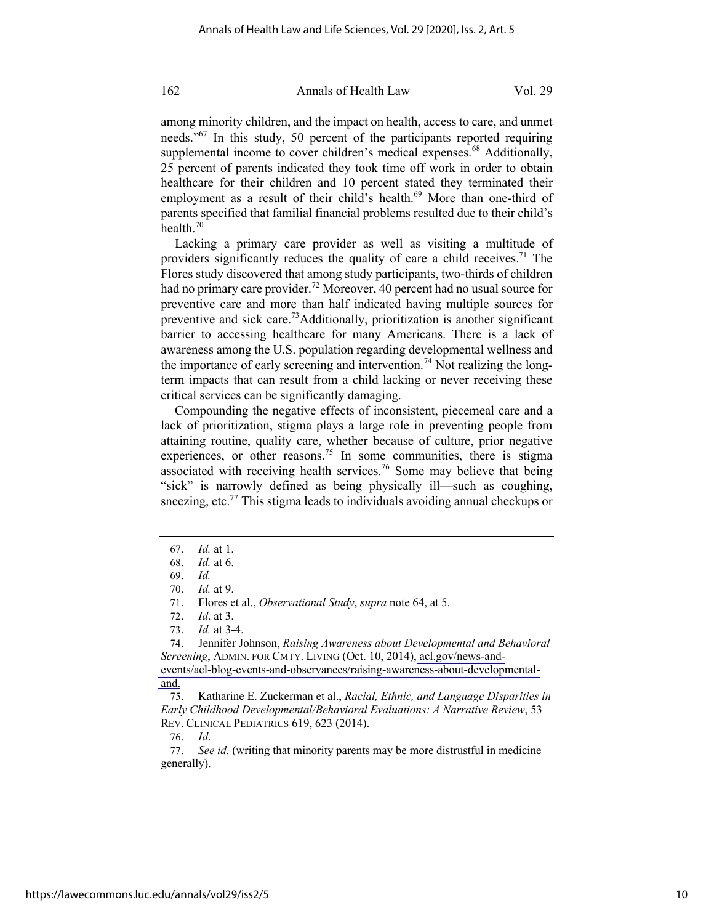among minority children, and the impact on health, access to care, and unmet needs."67 In this study, 50 percent of the participants reported requiring supplemental income to cover children's medical expenses. $68$  Additionally, 25 percent of parents indicated they took time off work in order to obtain healthcare for their children and 10 percent stated they terminated their employment as a result of their child's health.<sup>69</sup> More than one-third of parents specified that familial financial problems resulted due to their child's health.70

Lacking a primary care provider as well as visiting a multitude of providers significantly reduces the quality of care a child receives.<sup>71</sup> The Flores study discovered that among study participants, two-thirds of children had no primary care provider.<sup>72</sup> Moreover, 40 percent had no usual source for preventive care and more than half indicated having multiple sources for preventive and sick care.<sup>73</sup>Additionally, prioritization is another significant barrier to accessing healthcare for many Americans. There is a lack of awareness among the U.S. population regarding developmental wellness and the importance of early screening and intervention.<sup>74</sup> Not realizing the longterm impacts that can result from a child lacking or never receiving these critical services can be significantly damaging.

Compounding the negative effects of inconsistent, piecemeal care and a lack of prioritization, stigma plays a large role in preventing people from attaining routine, quality care, whether because of culture, prior negative experiences, or other reasons.<sup>75</sup> In some communities, there is stigma associated with receiving health services.<sup>76</sup> Some may believe that being "sick" is narrowly defined as being physically ill—such as coughing, sneezing, etc.<sup>77</sup> This stigma leads to individuals avoiding annual checkups or

74. Jennifer Johnson, *Raising Awareness about Developmental and Behavioral Screening*, ADMIN. FOR CMTY. LIVING (Oct. 10, 2014), [acl.gov/news-and](http://acl.gov/news-and-events/acl-blog-events-and-observances/raising-awareness-about-developmental-and)[events/acl-blog-events-and-observances/raising-awareness-about-developmental](http://acl.gov/news-and-events/acl-blog-events-and-observances/raising-awareness-about-developmental-and)[and.](http://acl.gov/news-and-events/acl-blog-events-and-observances/raising-awareness-about-developmental-and)

75. Katharine E. Zuckerman et al., *Racial, Ethnic, and Language Disparities in Early Childhood Developmental/Behavioral Evaluations: A Narrative Review*, 53 REV. CLINICAL PEDIATRICS 619, 623 (2014).

76. *Id*.

77. *See id.* (writing that minority parents may be more distrustful in medicine generally).

<sup>67.</sup> *Id.* at 1.

<sup>68.</sup> *Id.* at 6.

<sup>69.</sup> *Id.*

<sup>70.</sup> *Id.* at 9.

<sup>71.</sup> Flores et al., *Observational Study*, *supra* note 64, at 5.

<sup>72.</sup> *Id*. at 3.

<sup>73.</sup> *Id.* at 3-4.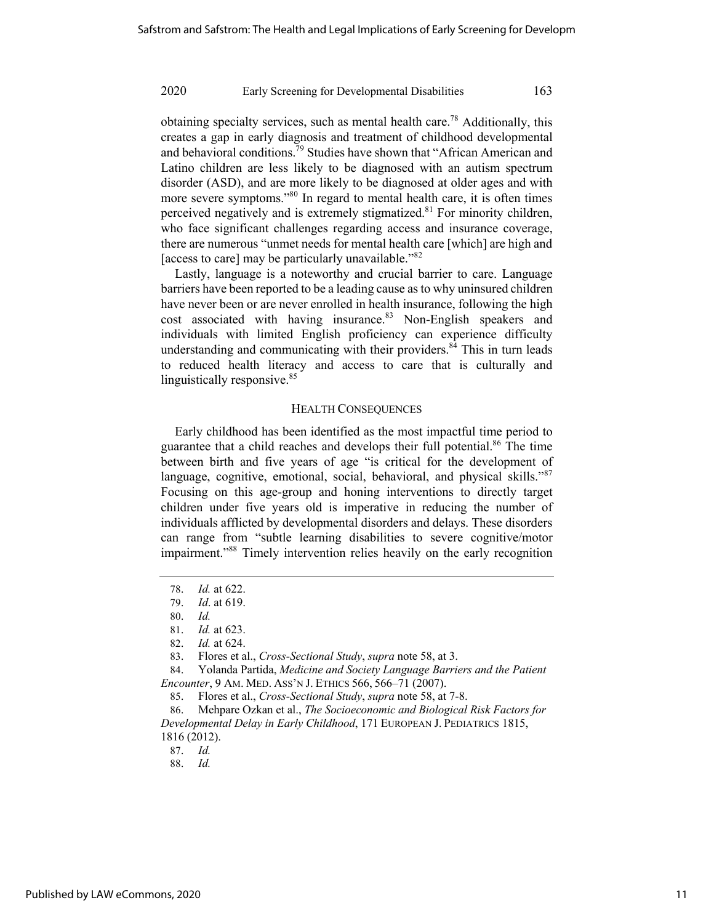obtaining specialty services, such as mental health care.78 Additionally, this creates a gap in early diagnosis and treatment of childhood developmental and behavioral conditions.<sup>79</sup> Studies have shown that "African American and Latino children are less likely to be diagnosed with an autism spectrum disorder (ASD), and are more likely to be diagnosed at older ages and with more severe symptoms."<sup>80</sup> In regard to mental health care, it is often times perceived negatively and is extremely stigmatized. $81$  For minority children, who face significant challenges regarding access and insurance coverage, there are numerous "unmet needs for mental health care [which] are high and [access to care] may be particularly unavailable."<sup>82</sup>

Lastly, language is a noteworthy and crucial barrier to care. Language barriers have been reported to be a leading cause as to why uninsured children have never been or are never enrolled in health insurance, following the high cost associated with having insurance.<sup>83</sup> Non-English speakers and individuals with limited English proficiency can experience difficulty understanding and communicating with their providers.<sup>84</sup> This in turn leads to reduced health literacy and access to care that is culturally and linguistically responsive.<sup>85</sup>

#### HEALTH CONSEQUENCES

Early childhood has been identified as the most impactful time period to guarantee that a child reaches and develops their full potential.<sup>86</sup> The time between birth and five years of age "is critical for the development of language, cognitive, emotional, social, behavioral, and physical skills."<sup>87</sup> Focusing on this age-group and honing interventions to directly target children under five years old is imperative in reducing the number of individuals afflicted by developmental disorders and delays. These disorders can range from "subtle learning disabilities to severe cognitive/motor impairment."<sup>88</sup> Timely intervention relies heavily on the early recognition

84. Yolanda Partida, *Medicine and Society Language Barriers and the Patient Encounter*, 9 AM. MED. ASS'N J. ETHICS 566, 566–71 (2007).

<sup>78.</sup> *Id.* at 622.

<sup>79.</sup> *Id*. at 619.

<sup>80.</sup> *Id.*

<sup>81.</sup> *Id.* at 623.

<sup>82.</sup> *Id.* at 624.

<sup>83.</sup> Flores et al., *Cross-Sectional Study*, *supra* note 58, at 3.

<sup>85.</sup> Flores et al., *Cross-Sectional Study*, *supra* note 58, at 7-8.

<sup>86.</sup> Mehpare Ozkan et al., *The Socioeconomic and Biological Risk Factors for Developmental Delay in Early Childhood*, 171 EUROPEAN J. PEDIATRICS 1815, 1816 (2012).

<sup>88.</sup> *Id.*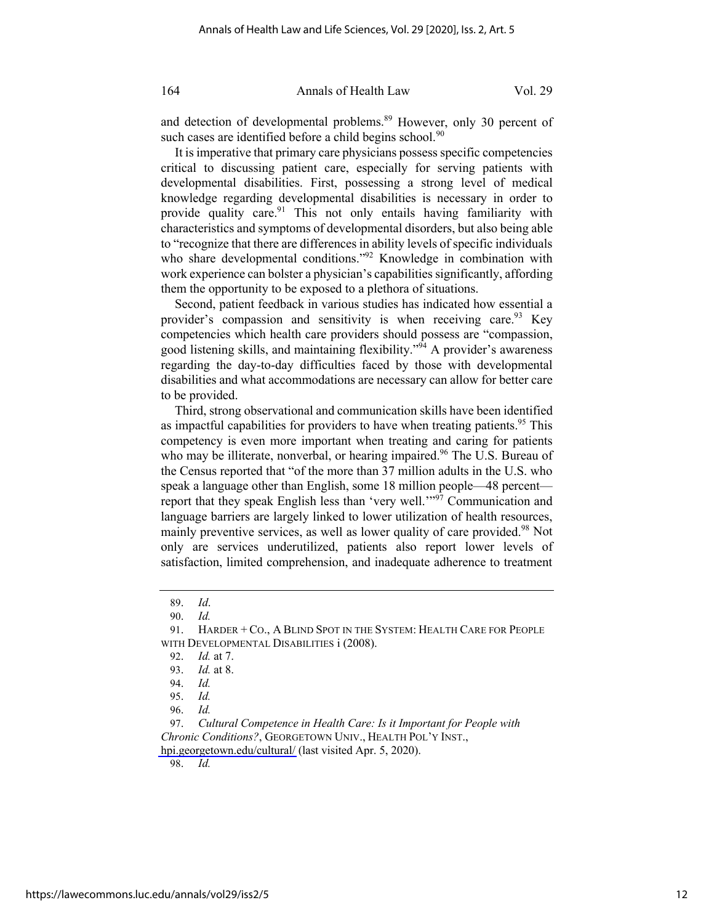and detection of developmental problems.<sup>89</sup> However, only 30 percent of such cases are identified before a child begins school.<sup>90</sup>

It is imperative that primary care physicians possess specific competencies critical to discussing patient care, especially for serving patients with developmental disabilities. First, possessing a strong level of medical knowledge regarding developmental disabilities is necessary in order to provide quality care.<sup>91</sup> This not only entails having familiarity with characteristics and symptoms of developmental disorders, but also being able to "recognize that there are differences in ability levels of specific individuals who share developmental conditions."<sup>92</sup> Knowledge in combination with work experience can bolster a physician's capabilities significantly, affording them the opportunity to be exposed to a plethora of situations.

Second, patient feedback in various studies has indicated how essential a provider's compassion and sensitivity is when receiving care.<sup>93</sup> Key competencies which health care providers should possess are "compassion, good listening skills, and maintaining flexibility."<sup>94</sup> A provider's awareness regarding the day-to-day difficulties faced by those with developmental disabilities and what accommodations are necessary can allow for better care to be provided.

Third, strong observational and communication skills have been identified as impactful capabilities for providers to have when treating patients.<sup>95</sup> This competency is even more important when treating and caring for patients who may be illiterate, nonverbal, or hearing impaired.<sup>96</sup> The U.S. Bureau of the Census reported that "of the more than 37 million adults in the U.S. who speak a language other than English, some 18 million people—48 percent report that they speak English less than 'very well.'"<sup>97</sup> Communication and language barriers are largely linked to lower utilization of health resources, mainly preventive services, as well as lower quality of care provided.<sup>98</sup> Not only are services underutilized, patients also report lower levels of satisfaction, limited comprehension, and inadequate adherence to treatment

97. *Cultural Competence in Health Care: Is it Important for People with Chronic Conditions?*, GEORGETOWN UNIV., HEALTH POL'Y INST.,

[hpi.georgetown.edu/cultural/](http://hpi.georgetown.edu/cultural/) (last visited Apr. 5, 2020).

<sup>89.</sup> *Id*.

<sup>90.</sup> *Id.* 

<sup>91.</sup> HARDER + CO., A BLIND SPOT IN THE SYSTEM: HEALTH CARE FOR PEOPLE WITH DEVELOPMENTAL DISABILITIES i (2008).

<sup>92.</sup> *Id.* at 7.

<sup>93.</sup> *Id.* at 8.

<sup>94.</sup> *Id.*

<sup>95.</sup> *Id.*

<sup>96.</sup> *Id.*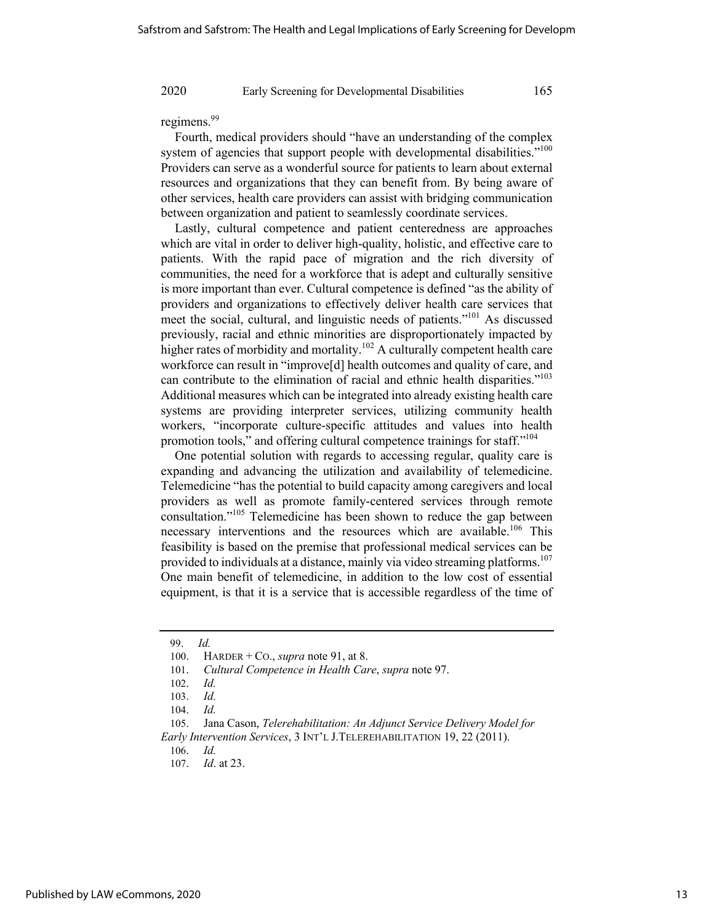regimens.<sup>99</sup>

Fourth, medical providers should "have an understanding of the complex system of agencies that support people with developmental disabilities."<sup>100</sup> Providers can serve as a wonderful source for patients to learn about external resources and organizations that they can benefit from. By being aware of other services, health care providers can assist with bridging communication between organization and patient to seamlessly coordinate services.

Lastly, cultural competence and patient centeredness are approaches which are vital in order to deliver high-quality, holistic, and effective care to patients. With the rapid pace of migration and the rich diversity of communities, the need for a workforce that is adept and culturally sensitive is more important than ever. Cultural competence is defined "as the ability of providers and organizations to effectively deliver health care services that meet the social, cultural, and linguistic needs of patients."101 As discussed previously, racial and ethnic minorities are disproportionately impacted by higher rates of morbidity and mortality.<sup>102</sup> A culturally competent health care workforce can result in "improve[d] health outcomes and quality of care, and can contribute to the elimination of racial and ethnic health disparities."103 Additional measures which can be integrated into already existing health care systems are providing interpreter services, utilizing community health workers, "incorporate culture-specific attitudes and values into health promotion tools," and offering cultural competence trainings for staff."<sup>104</sup>

One potential solution with regards to accessing regular, quality care is expanding and advancing the utilization and availability of telemedicine. Telemedicine "has the potential to build capacity among caregivers and local providers as well as promote family-centered services through remote consultation."105 Telemedicine has been shown to reduce the gap between necessary interventions and the resources which are available.<sup>106</sup> This feasibility is based on the premise that professional medical services can be provided to individuals at a distance, mainly via video streaming platforms.<sup>107</sup> One main benefit of telemedicine, in addition to the low cost of essential equipment, is that it is a service that is accessible regardless of the time of

105. Jana Cason, *Telerehabilitation: An Adjunct Service Delivery Model for Early Intervention Services*, 3 INT'L J.TELEREHABILITATION 19, 22 (2011).

<sup>99.</sup> *Id.*

<sup>100.</sup> HARDER + CO., *supra* note 91, at 8.

<sup>101.</sup> *Cultural Competence in Health Care*, *supra* note 97.

<sup>102.</sup> *Id.*

<sup>103.</sup> *Id.*

<sup>104.</sup> *Id.*

<sup>107.</sup> *Id*. at 23.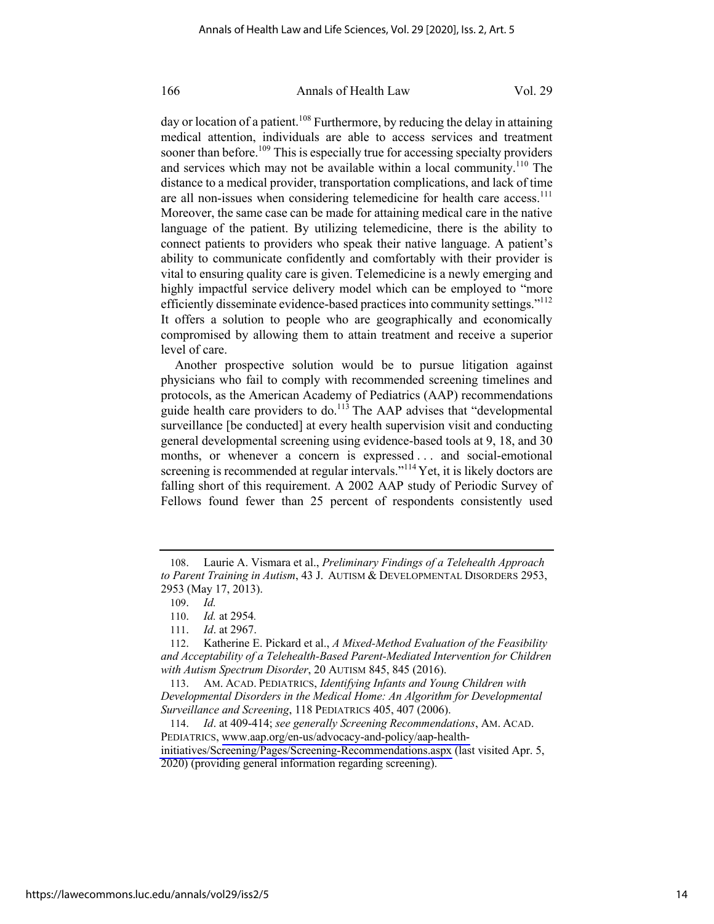day or location of a patient.<sup>108</sup> Furthermore, by reducing the delay in attaining medical attention, individuals are able to access services and treatment sooner than before.<sup>109</sup> This is especially true for accessing specialty providers and services which may not be available within a local community.<sup>110</sup> The distance to a medical provider, transportation complications, and lack of time are all non-issues when considering telemedicine for health care access.<sup>111</sup> Moreover, the same case can be made for attaining medical care in the native language of the patient. By utilizing telemedicine, there is the ability to connect patients to providers who speak their native language. A patient's ability to communicate confidently and comfortably with their provider is vital to ensuring quality care is given. Telemedicine is a newly emerging and highly impactful service delivery model which can be employed to "more efficiently disseminate evidence-based practices into community settings."<sup>112</sup> It offers a solution to people who are geographically and economically compromised by allowing them to attain treatment and receive a superior level of care.

Another prospective solution would be to pursue litigation against physicians who fail to comply with recommended screening timelines and protocols, as the American Academy of Pediatrics (AAP) recommendations guide health care providers to do.<sup>113</sup> The AAP advises that "developmental surveillance [be conducted] at every health supervision visit and conducting general developmental screening using evidence-based tools at 9, 18, and 30 months, or whenever a concern is expressed . . . and social-emotional screening is recommended at regular intervals."<sup>114</sup> Yet, it is likely doctors are falling short of this requirement. A 2002 AAP study of Periodic Survey of Fellows found fewer than 25 percent of respondents consistently used

<sup>108.</sup> Laurie A. Vismara et al., *Preliminary Findings of a Telehealth Approach to Parent Training in Autism*, 43 J. AUTISM & DEVELOPMENTAL DISORDERS 2953, 2953 (May 17, 2013).

<sup>109.</sup> *Id.*

<sup>110.</sup> *Id.* at 2954*.*

<sup>111.</sup> *Id*. at 2967.

<sup>112.</sup> Katherine E. Pickard et al., *A Mixed-Method Evaluation of the Feasibility and Acceptability of a Telehealth-Based Parent-Mediated Intervention for Children with Autism Spectrum Disorder*, 20 AUTISM 845, 845 (2016).

<sup>113.</sup> AM. ACAD. PEDIATRICS, *Identifying Infants and Young Children with Developmental Disorders in the Medical Home: An Algorithm for Developmental Surveillance and Screening*, 118 PEDIATRICS 405, 407 (2006).

<sup>114.</sup> *Id*. at 409-414; *see generally Screening Recommendations*, AM. ACAD. PEDIATRICS, [www.aap.org/en-us/advocacy-and-policy/aap-health](http://www.aap.org/en-us/advocacy-and-policy/aap-health-initiatives/Screening/Pages/Screening-Recommendations.aspx)[initiatives/Screening/Pages/Screening-Recommendations.aspx](http://www.aap.org/en-us/advocacy-and-policy/aap-health-initiatives/Screening/Pages/Screening-Recommendations.aspx) (last visited Apr. 5, 2020) (providing general information regarding screening).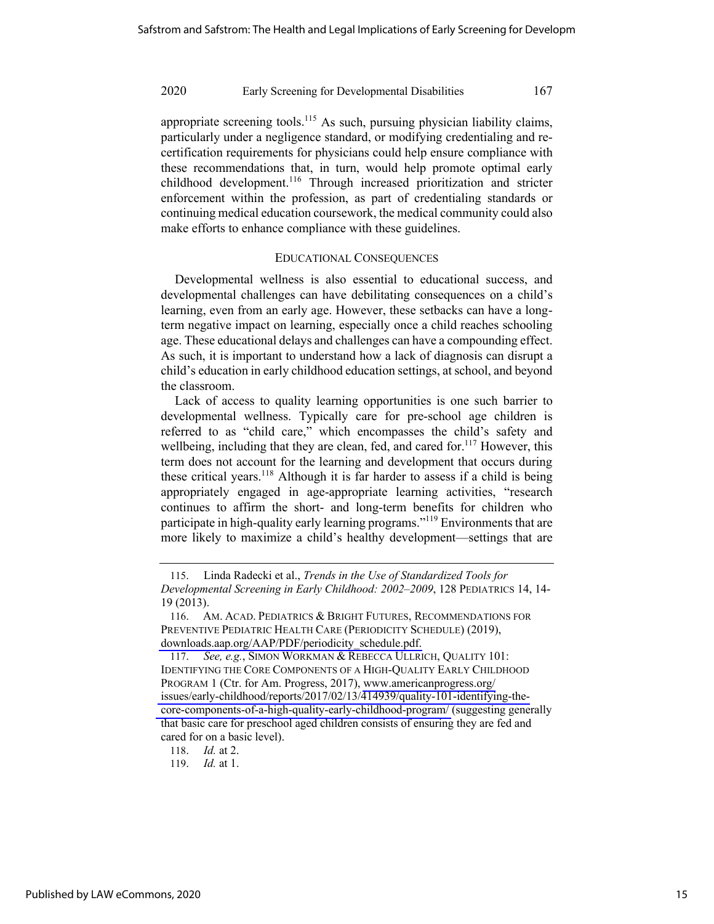appropriate screening tools.<sup>115</sup> As such, pursuing physician liability claims, particularly under a negligence standard, or modifying credentialing and recertification requirements for physicians could help ensure compliance with these recommendations that, in turn, would help promote optimal early childhood development.<sup>116</sup> Through increased prioritization and stricter enforcement within the profession, as part of credentialing standards or continuing medical education coursework, the medical community could also make efforts to enhance compliance with these guidelines.

#### EDUCATIONAL CONSEQUENCES

Developmental wellness is also essential to educational success, and developmental challenges can have debilitating consequences on a child's learning, even from an early age. However, these setbacks can have a longterm negative impact on learning, especially once a child reaches schooling age. These educational delays and challenges can have a compounding effect. As such, it is important to understand how a lack of diagnosis can disrupt a child's education in early childhood education settings, at school, and beyond the classroom.

Lack of access to quality learning opportunities is one such barrier to developmental wellness. Typically care for pre-school age children is referred to as "child care," which encompasses the child's safety and wellbeing, including that they are clean, fed, and cared for.<sup>117</sup> However, this term does not account for the learning and development that occurs during these critical years.<sup>118</sup> Although it is far harder to assess if a child is being appropriately engaged in age-appropriate learning activities, "research continues to affirm the short- and long-term benefits for children who participate in high-quality early learning programs."<sup>119</sup> Environments that are more likely to maximize a child's healthy development—settings that are

<sup>115.</sup> Linda Radecki et al., *Trends in the Use of Standardized Tools for Developmental Screening in Early Childhood: 2002–2009*, 128 PEDIATRICS 14, 14- 19 (2013).

<sup>116.</sup> AM. ACAD. PEDIATRICS & BRIGHT FUTURES, RECOMMENDATIONS FOR PREVENTIVE PEDIATRIC HEALTH CARE (PERIODICITY SCHEDULE) (2019), [downloads.aap.org/AAP/PDF/periodicity\\_schedule.pdf.](http://downloads.aap.org/AAP/PDF/periodicity_schedule.pdf) 

<sup>117.</sup> *See, e.g.*, SIMON WORKMAN & REBECCA ULLRICH, QUALITY 101: IDENTIFYING THE CORE COMPONENTS OF A HIGH-QUALITY EARLY CHILDHOOD PROGRAM 1 (Ctr. for Am. Progress, 2017), [www.americanprogress.org/](http://www.americanprogress.org/issues/early-childhood/reports/2017/02/13/414939/quality-101-identifying-the-core-components-of-a-high-quality-early-childhood-program/)  [issues/early-childhood/reports/2017/02/13/414939/quality-101-identifying-the](http://www.americanprogress.org/issues/early-childhood/reports/2017/02/13/414939/quality-101-identifying-the-core-components-of-a-high-quality-early-childhood-program/)[core-components-of-a-high-quality-early-childhood-program/](http://www.americanprogress.org/issues/early-childhood/reports/2017/02/13/414939/quality-101-identifying-the-core-components-of-a-high-quality-early-childhood-program/) (suggesting generally that basic care for preschool aged children consists of ensuring they are fed and cared for on a basic level).

<sup>118.</sup> *Id.* at 2.

<sup>119.</sup> *Id.* at 1.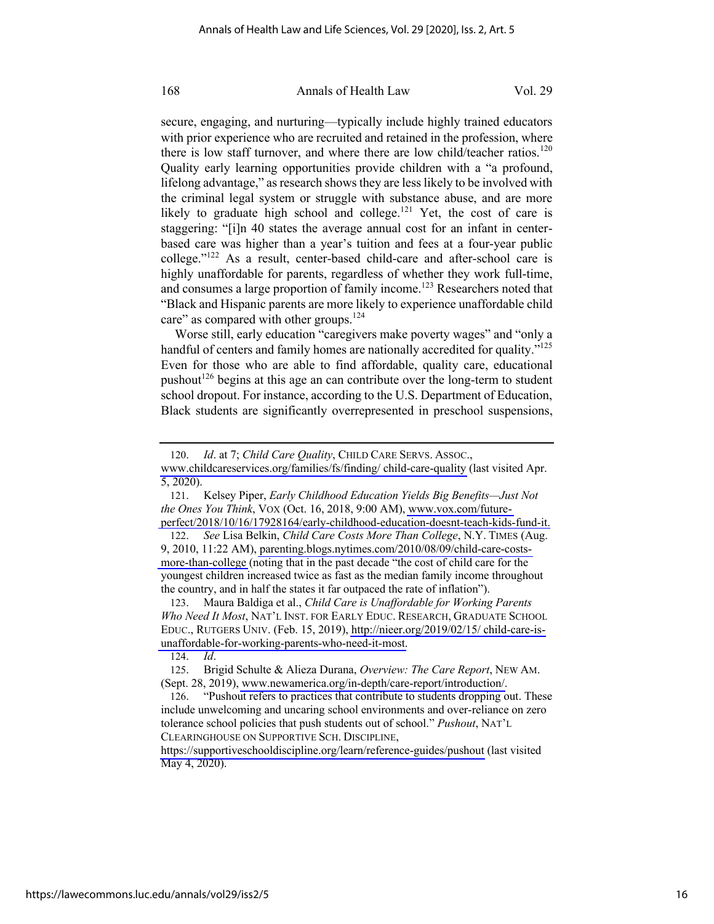secure, engaging, and nurturing—typically include highly trained educators with prior experience who are recruited and retained in the profession, where there is low staff turnover, and where there are low child/teacher ratios.<sup>120</sup> Quality early learning opportunities provide children with a "a profound, lifelong advantage," as research shows they are less likely to be involved with the criminal legal system or struggle with substance abuse, and are more likely to graduate high school and college.<sup>121</sup> Yet, the cost of care is staggering: "[i]n 40 states the average annual cost for an infant in centerbased care was higher than a year's tuition and fees at a four-year public college."122 As a result, center-based child-care and after-school care is highly unaffordable for parents, regardless of whether they work full-time, and consumes a large proportion of family income.<sup>123</sup> Researchers noted that "Black and Hispanic parents are more likely to experience unaffordable child care" as compared with other groups.<sup>124</sup>

Worse still, early education "caregivers make poverty wages" and "only a handful of centers and family homes are nationally accredited for quality."<sup>125</sup> Even for those who are able to find affordable, quality care, educational pushout<sup>126</sup> begins at this age an can contribute over the long-term to student school dropout. For instance, according to the U.S. Department of Education, Black students are significantly overrepresented in preschool suspensions,

122. *See* Lisa Belkin, *Child Care Costs More Than College*, N.Y. TIMES (Aug. 9, 2010, 11:22 AM), [parenting.blogs.nytimes.com/2010/08/09/child-care-costs](http://parenting.blogs.nytimes.com/2010/08/09/child-care-costs-more-than-college)[more-than-college](http://parenting.blogs.nytimes.com/2010/08/09/child-care-costs-more-than-college) (noting that in the past decade "the cost of child care for the youngest children increased twice as fast as the median family income throughout the country, and in half the states it far outpaced the rate of inflation").

123. Maura Baldiga et al., *Child Care is Unaffordable for Working Parents Who Need It Most*, NAT'L INST. FOR EARLY EDUC. RESEARCH, GRADUATE SCHOOL EDUC., RUTGERS UNIV. (Feb. 15, 2019), [http://nieer.org/2019/02/15/ child-care-is](http://nieer.org/2019/02/15/ child-care-is-unaffordable-for-working-parents-who-need-it-most)[unaffordable-for-working-parents-who-need-it-most.](http://nieer.org/2019/02/15/ child-care-is-unaffordable-for-working-parents-who-need-it-most)

124. *Id*.

<https://supportiveschooldiscipline.org/learn/reference-guides/pushout>(last visited May 4, 2020).

<sup>120.</sup> *Id*. at 7; *Child Care Quality*, CHILD CARE SERVS. ASSOC.,

[www.childcareservices.org/families/fs/finding/ child-care-quality](http://www.childcareservices.org/families/fs/finding/ child-care-quality) (last visited Apr. 5, 2020).

<sup>121.</sup> Kelsey Piper, *Early Childhood Education Yields Big Benefits—Just Not the Ones You Think*, VOX (Oct. 16, 2018, 9:00 AM), [www.vox.com/future](http://www.vox.com/future-perfect/2018/10/16/17928164/early-childhood-education-doesnt-teach-kids-fund-it)[perfect/2018/10/16/17928164/early-childhood-education-doesnt-teach-kids-fund-it.](http://www.vox.com/future-perfect/2018/10/16/17928164/early-childhood-education-doesnt-teach-kids-fund-it)

<sup>125.</sup> Brigid Schulte & Alieza Durana, *Overview: The Care Report*, NEW AM. (Sept. 28, 2019), [www.newamerica.org/in-depth/care-report/introduction/.](http://www.newamerica.org/in-depth/care-report/introduction/)

<sup>126. &</sup>quot;Pushout refers to practices that contribute to students dropping out. These include unwelcoming and uncaring school environments and over-reliance on zero tolerance school policies that push students out of school." *Pushout*, NAT'L CLEARINGHOUSE ON SUPPORTIVE SCH. DISCIPLINE,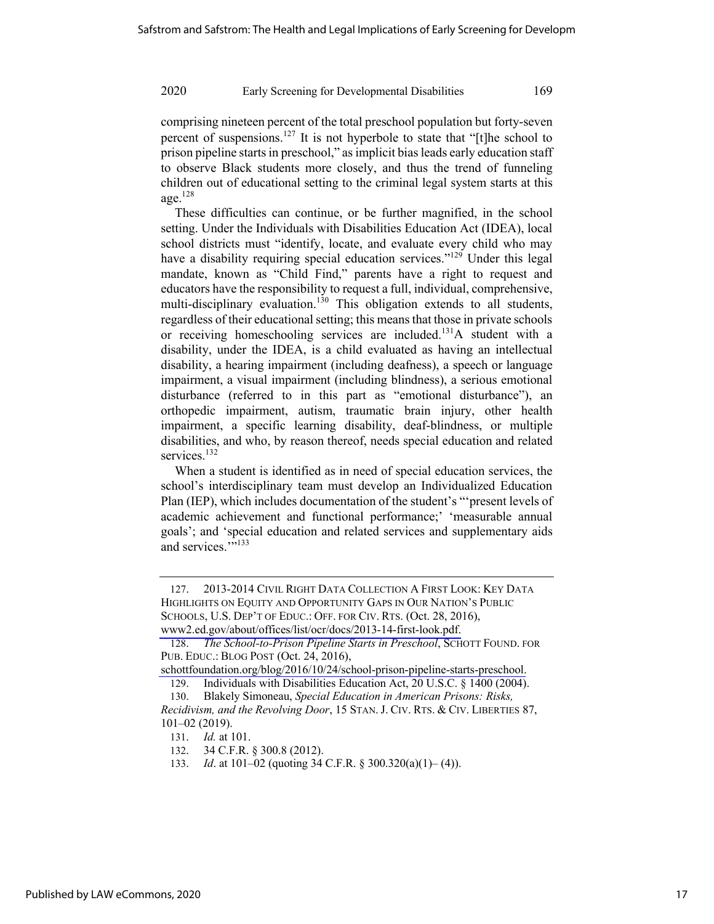comprising nineteen percent of the total preschool population but forty-seven percent of suspensions.<sup>127</sup> It is not hyperbole to state that "[t]he school to prison pipeline starts in preschool," as implicit bias leads early education staff to observe Black students more closely, and thus the trend of funneling children out of educational setting to the criminal legal system starts at this age. $128$ 

These difficulties can continue, or be further magnified, in the school setting. Under the Individuals with Disabilities Education Act (IDEA), local school districts must "identify, locate, and evaluate every child who may have a disability requiring special education services."<sup>129</sup> Under this legal mandate, known as "Child Find," parents have a right to request and educators have the responsibility to request a full, individual, comprehensive, multi-disciplinary evaluation.<sup>130</sup> This obligation extends to all students, regardless of their educational setting; this means that those in private schools or receiving homeschooling services are included.131A student with a disability, under the IDEA, is a child evaluated as having an intellectual disability, a hearing impairment (including deafness), a speech or language impairment, a visual impairment (including blindness), a serious emotional disturbance (referred to in this part as "emotional disturbance"), an orthopedic impairment, autism, traumatic brain injury, other health impairment, a specific learning disability, deaf-blindness, or multiple disabilities, and who, by reason thereof, needs special education and related services.<sup>132</sup>

When a student is identified as in need of special education services, the school's interdisciplinary team must develop an Individualized Education Plan (IEP), which includes documentation of the student's "'present levels of academic achievement and functional performance;' 'measurable annual goals'; and 'special education and related services and supplementary aids and services.""<sup>133</sup>

<sup>127. 2013-2014</sup> CIVIL RIGHT DATA COLLECTION A FIRST LOOK: KEY DATA HIGHLIGHTS ON EQUITY AND OPPORTUNITY GAPS IN OUR NATION'S PUBLIC SCHOOLS, U.S. DEP'T OF EDUC.: OFF. FOR CIV. RTS. (Oct. 28, 2016), [www2.ed.gov/about/offices/list/ocr/docs/2013-14-first-look.pdf.](http://www2.ed.gov/about/offices/list/ocr/docs/2013-14-first-look.pdf)

<sup>128.</sup> *The School-to-Prison Pipeline Starts in Preschool*, SCHOTT FOUND. FOR PUB. EDUC.: BLOG POST (Oct. 24, 2016),

[schottfoundation.org/blog/2016/10/24/school-prison-pipeline-starts-preschool.](http://schottfoundation.org/blog/2016/10/24/school-prison-pipeline-starts-preschool)

<sup>129.</sup> Individuals with Disabilities Education Act, 20 U.S.C. § 1400 (2004). 130. Blakely Simoneau, *Special Education in American Prisons: Risks,* 

*Recidivism, and the Revolving Door*, 15 STAN. J. CIV. RTS. & CIV. LIBERTIES 87, 101–02 (2019).

<sup>131.</sup> *Id.* at 101.

<sup>132. 34</sup> C.F.R. § 300.8 (2012).

<sup>133.</sup> *Id*. at 101–02 (quoting 34 C.F.R. § 300.320(a)(1)– (4)).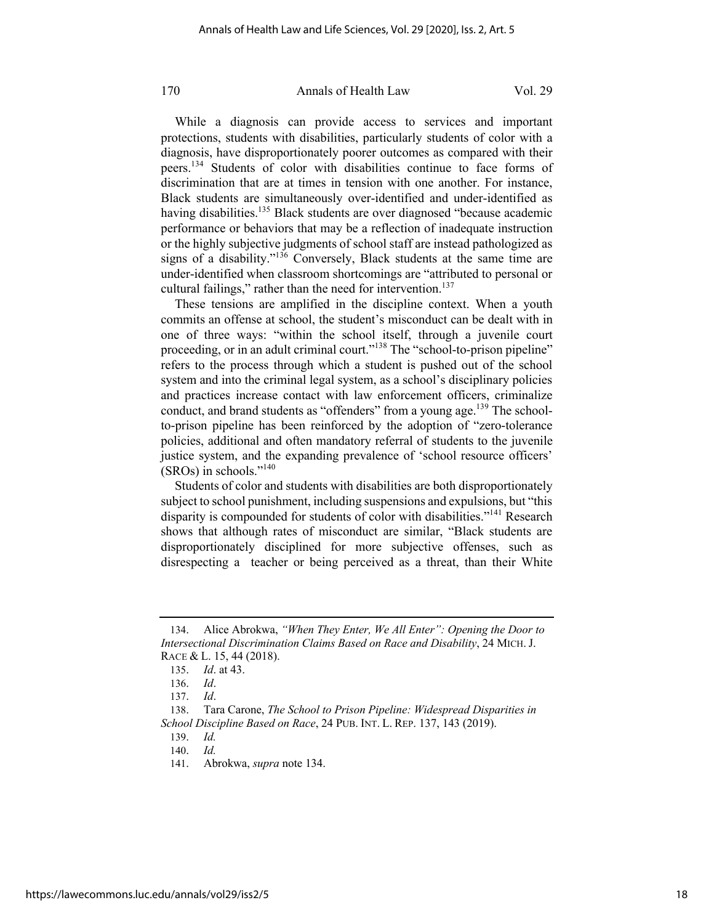While a diagnosis can provide access to services and important protections, students with disabilities, particularly students of color with a diagnosis, have disproportionately poorer outcomes as compared with their peers.134 Students of color with disabilities continue to face forms of discrimination that are at times in tension with one another. For instance, Black students are simultaneously over-identified and under-identified as having disabilities.<sup>135</sup> Black students are over diagnosed "because academic performance or behaviors that may be a reflection of inadequate instruction or the highly subjective judgments of school staff are instead pathologized as signs of a disability."<sup>136</sup> Conversely, Black students at the same time are under-identified when classroom shortcomings are "attributed to personal or cultural failings," rather than the need for intervention.<sup>137</sup>

These tensions are amplified in the discipline context. When a youth commits an offense at school, the student's misconduct can be dealt with in one of three ways: "within the school itself, through a juvenile court proceeding, or in an adult criminal court."138 The "school-to-prison pipeline" refers to the process through which a student is pushed out of the school system and into the criminal legal system, as a school's disciplinary policies and practices increase contact with law enforcement officers, criminalize conduct, and brand students as "offenders" from a young age.<sup>139</sup> The schoolto-prison pipeline has been reinforced by the adoption of "zero-tolerance policies, additional and often mandatory referral of students to the juvenile justice system, and the expanding prevalence of 'school resource officers' (SROs) in schools."140

Students of color and students with disabilities are both disproportionately subject to school punishment, including suspensions and expulsions, but "this disparity is compounded for students of color with disabilities."<sup>141</sup> Research shows that although rates of misconduct are similar, "Black students are disproportionately disciplined for more subjective offenses, such as disrespecting a teacher or being perceived as a threat, than their White

<sup>134.</sup> Alice Abrokwa, *"When They Enter, We All Enter": Opening the Door to Intersectional Discrimination Claims Based on Race and Disability*, 24 MICH. J. RACE & L. 15, 44 (2018).

<sup>135.</sup> *Id*. at 43.

<sup>136.</sup> *Id*.

<sup>137.</sup> *Id*.

<sup>138.</sup> Tara Carone, *The School to Prison Pipeline: Widespread Disparities in School Discipline Based on Race*, 24 PUB. INT. L. REP. 137, 143 (2019).

<sup>139.</sup> *Id.*

<sup>140.</sup> *Id.*

<sup>141.</sup> Abrokwa, *supra* note 134.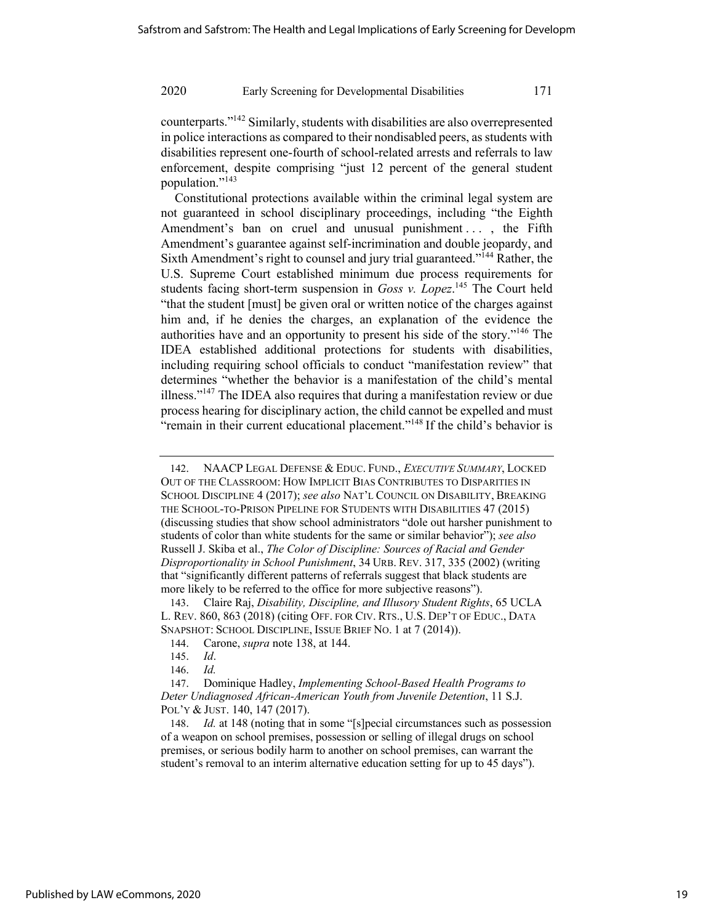counterparts."142 Similarly, students with disabilities are also overrepresented in police interactions as compared to their nondisabled peers, as students with disabilities represent one-fourth of school-related arrests and referrals to law enforcement, despite comprising "just 12 percent of the general student population."<sup>143</sup>

Constitutional protections available within the criminal legal system are not guaranteed in school disciplinary proceedings, including "the Eighth Amendment's ban on cruel and unusual punishment ..., the Fifth Amendment's guarantee against self-incrimination and double jeopardy, and Sixth Amendment's right to counsel and jury trial guaranteed."<sup>144</sup> Rather, the U.S. Supreme Court established minimum due process requirements for students facing short-term suspension in *Goss v. Lopez*.<sup>145</sup> The Court held "that the student [must] be given oral or written notice of the charges against him and, if he denies the charges, an explanation of the evidence the authorities have and an opportunity to present his side of the story."146 The IDEA established additional protections for students with disabilities, including requiring school officials to conduct "manifestation review" that determines "whether the behavior is a manifestation of the child's mental illness."<sup>147</sup> The IDEA also requires that during a manifestation review or due process hearing for disciplinary action, the child cannot be expelled and must "remain in their current educational placement."<sup>148</sup> If the child's behavior is

143. Claire Raj, *Disability, Discipline, and Illusory Student Rights*, 65 UCLA L. REV. 860, 863 (2018) (citing OFF. FOR CIV. RTS., U.S. DEP'T OF EDUC., DATA SNAPSHOT: SCHOOL DISCIPLINE, ISSUE BRIEF NO. 1 at 7 (2014)).

148. *Id.* at 148 (noting that in some "[s]pecial circumstances such as possession of a weapon on school premises, possession or selling of illegal drugs on school premises, or serious bodily harm to another on school premises, can warrant the student's removal to an interim alternative education setting for up to 45 days").

<sup>142.</sup> NAACP LEGAL DEFENSE & EDUC. FUND., *EXECUTIVE SUMMARY*, LOCKED OUT OF THE CLASSROOM: HOW IMPLICIT BIAS CONTRIBUTES TO DISPARITIES IN SCHOOL DISCIPLINE 4 (2017); *see also* NAT'L COUNCIL ON DISABILITY, BREAKING THE SCHOOL-TO-PRISON PIPELINE FOR STUDENTS WITH DISABILITIES 47 (2015) (discussing studies that show school administrators "dole out harsher punishment to students of color than white students for the same or similar behavior"); *see also* Russell J. Skiba et al., *The Color of Discipline: Sources of Racial and Gender Disproportionality in School Punishment*, 34 URB. REV. 317, 335 (2002) (writing that "significantly different patterns of referrals suggest that black students are more likely to be referred to the office for more subjective reasons").

<sup>144.</sup> Carone, *supra* note 138, at 144.

<sup>145.</sup> *Id*.

<sup>146.</sup> *Id.*

<sup>147.</sup> Dominique Hadley, *Implementing School-Based Health Programs to Deter Undiagnosed African-American Youth from Juvenile Detention*, 11 S.J. POL'Y & JUST. 140, 147 (2017).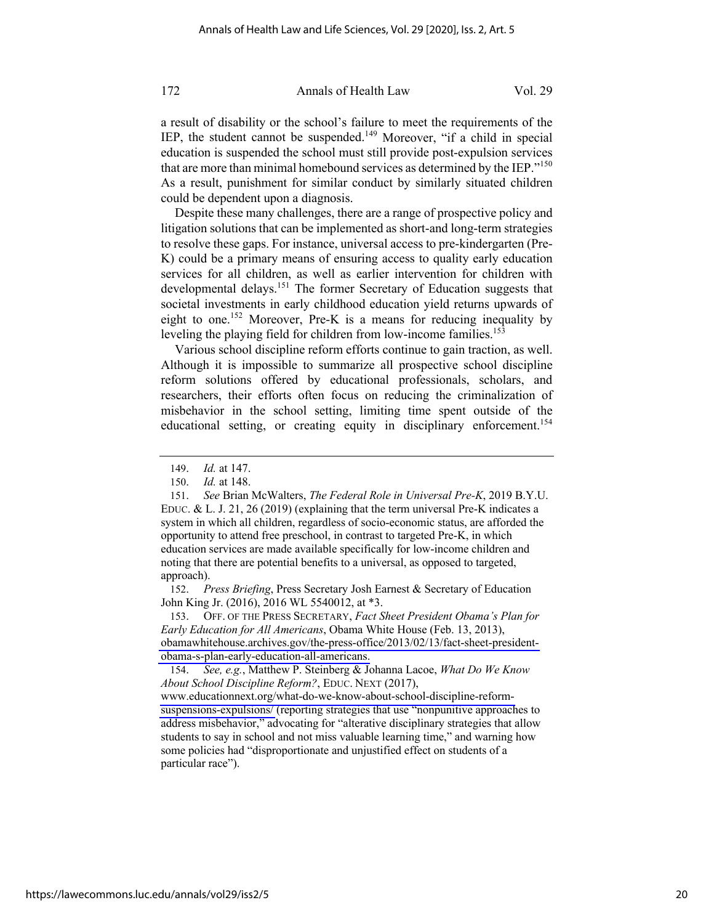a result of disability or the school's failure to meet the requirements of the IEP, the student cannot be suspended.<sup>149</sup> Moreover, "if a child in special education is suspended the school must still provide post-expulsion services that are more than minimal homebound services as determined by the IEP."<sup>150</sup> As a result, punishment for similar conduct by similarly situated children could be dependent upon a diagnosis.

Despite these many challenges, there are a range of prospective policy and litigation solutions that can be implemented as short-and long-term strategies to resolve these gaps. For instance, universal access to pre-kindergarten (Pre-K) could be a primary means of ensuring access to quality early education services for all children, as well as earlier intervention for children with developmental delays.<sup>151</sup> The former Secretary of Education suggests that societal investments in early childhood education yield returns upwards of eight to one.<sup>152</sup> Moreover, Pre-K is a means for reducing inequality by leveling the playing field for children from low-income families.<sup>153</sup>

Various school discipline reform efforts continue to gain traction, as well. Although it is impossible to summarize all prospective school discipline reform solutions offered by educational professionals, scholars, and researchers, their efforts often focus on reducing the criminalization of misbehavior in the school setting, limiting time spent outside of the educational setting, or creating equity in disciplinary enforcement.<sup>154</sup>

152. *Press Briefing*, Press Secretary Josh Earnest & Secretary of Education John King Jr. (2016), 2016 WL 5540012, at \*3.

153. OFF. OF THE PRESS SECRETARY, *Fact Sheet President Obama's Plan for Early Education for All Americans*, Obama White House (Feb. 13, 2013), [obamawhitehouse.archives.gov/the-press-office/2013/02/13/fact-sheet-president](http://obamawhitehouse.archives.gov/the-press-office/2013/02/13/fact-sheet-president-obama-s-plan-early-education-all-americans)[obama-s-plan-early-education-all-americans.](http://obamawhitehouse.archives.gov/the-press-office/2013/02/13/fact-sheet-president-obama-s-plan-early-education-all-americans)

154. *See, e.g.*, Matthew P. Steinberg & Johanna Lacoe, *What Do We Know About School Discipline Reform?*, EDUC. NEXT (2017),

[www.educationnext.org/what-do-we-know-about-school-discipline-reform](http://www.educationnext.org/what-do-we-know-about-school-discipline-reform-suspensions-expulsions/)[suspensions-expulsions/](http://www.educationnext.org/what-do-we-know-about-school-discipline-reform-suspensions-expulsions/) (reporting strategies that use "nonpunitive approaches to address misbehavior," advocating for "alterative disciplinary strategies that allow students to say in school and not miss valuable learning time," and warning how some policies had "disproportionate and unjustified effect on students of a particular race").

<sup>149.</sup> *Id.* at 147.

<sup>150.</sup> *Id.* at 148.

<sup>151.</sup> *See* Brian McWalters, *The Federal Role in Universal Pre-K*, 2019 B.Y.U. EDUC. & L. J. 21, 26 (2019) (explaining that the term universal Pre-K indicates a system in which all children, regardless of socio-economic status, are afforded the opportunity to attend free preschool, in contrast to targeted Pre-K, in which education services are made available specifically for low-income children and noting that there are potential benefits to a universal, as opposed to targeted, approach).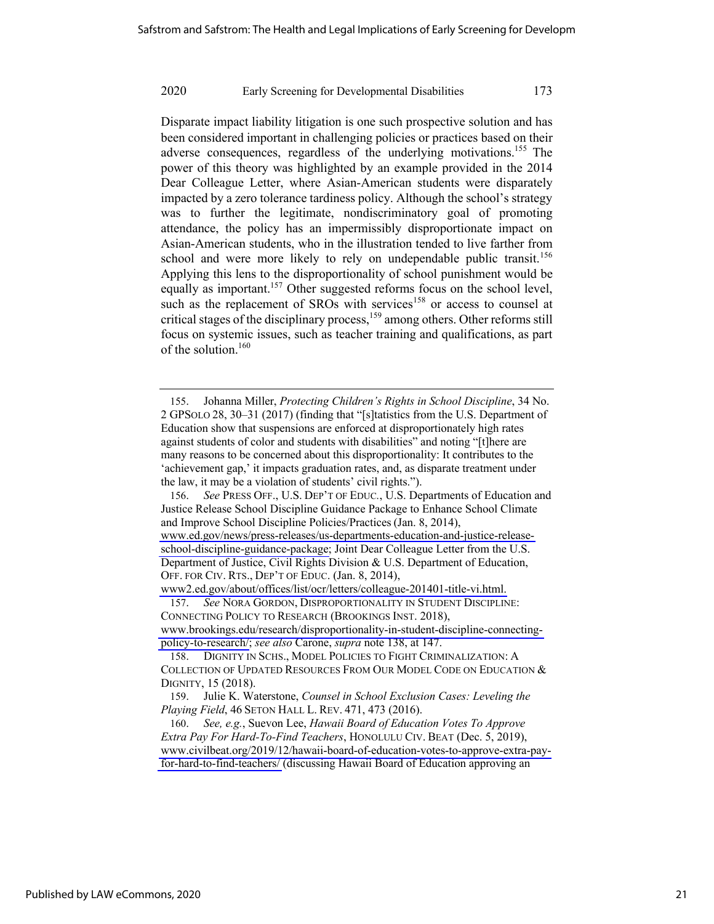Disparate impact liability litigation is one such prospective solution and has been considered important in challenging policies or practices based on their adverse consequences, regardless of the underlying motivations.<sup>155</sup> The power of this theory was highlighted by an example provided in the 2014 Dear Colleague Letter, where Asian-American students were disparately impacted by a zero tolerance tardiness policy. Although the school's strategy was to further the legitimate, nondiscriminatory goal of promoting attendance, the policy has an impermissibly disproportionate impact on Asian-American students, who in the illustration tended to live farther from school and were more likely to rely on undependable public transit.<sup>156</sup> Applying this lens to the disproportionality of school punishment would be equally as important.<sup>157</sup> Other suggested reforms focus on the school level, such as the replacement of  $SROS$  with services<sup>158</sup> or access to counsel at critical stages of the disciplinary process,159 among others. Other reforms still focus on systemic issues, such as teacher training and qualifications, as part of the solution.<sup>160</sup>

156. *See* PRESS OFF., U.S. DEP'T OF EDUC*.*, U.S. Departments of Education and Justice Release School Discipline Guidance Package to Enhance School Climate and Improve School Discipline Policies/Practices (Jan. 8, 2014), [www.ed.gov/news/press-releases/us-departments-education-and-justice-release](http://www.ed.gov/news/press-releases/us-departments-education-and-justice-release-school-discipline-guidance-package)[school-discipline-guidance-package;](http://www.ed.gov/news/press-releases/us-departments-education-and-justice-release-school-discipline-guidance-package) Joint Dear Colleague Letter from the U.S. Department of Justice, Civil Rights Division & U.S. Department of Education, OFF. FOR CIV. RTS., DEP'T OF EDUC. (Jan. 8, 2014),

[www2.ed.gov/about/offices/list/ocr/letters/colleague-201401-title-vi.html.](http://www2.ed.gov/about/offices/list/ocr/letters/colleague-201401-title-vi.html) 

157. *See* NORA GORDON, DISPROPORTIONALITY IN STUDENT DISCIPLINE: CONNECTING POLICY TO RESEARCH (BROOKINGS INST. 2018), [www.brookings.edu/research/disproportionality-in-student-discipline-connecting](http://www.brookings.edu/research/disproportionality-in-student-discipline-connecting-policy-to-research/)[policy-to-research/;](http://www.brookings.edu/research/disproportionality-in-student-discipline-connecting-policy-to-research/) *see also* Carone, *supra* note 138, at 147.

<sup>155.</sup> Johanna Miller, *Protecting Children's Rights in School Discipline*, 34 No. 2 GPSOLO 28, 30–31 (2017) (finding that "[s]tatistics from the U.S. Department of Education show that suspensions are enforced at disproportionately high rates against students of color and students with disabilities" and noting "[t]here are many reasons to be concerned about this disproportionality: It contributes to the 'achievement gap,' it impacts graduation rates, and, as disparate treatment under the law, it may be a violation of students' civil rights.").

<sup>158.</sup> DIGNITY IN SCHS., MODEL POLICIES TO FIGHT CRIMINALIZATION: A COLLECTION OF UPDATED RESOURCES FROM OUR MODEL CODE ON EDUCATION & DIGNITY, 15 (2018).

<sup>159.</sup> Julie K. Waterstone, *Counsel in School Exclusion Cases: Leveling the Playing Field*, 46 SETON HALL L. REV. 471, 473 (2016).

<sup>160.</sup> *See, e.g.*, Suevon Lee, *Hawaii Board of Education Votes To Approve Extra Pay For Hard-To-Find Teachers*, HONOLULU CIV. BEAT (Dec. 5, 2019), [www.civilbeat.org/2019/12/hawaii-board-of-education-votes-to-approve-extra-pay](http://www.civilbeat.org/2019/12/hawaii-board-of-education-votes-to-approve-extra-pay-for-hard-to-find-teachers/)[for-hard-to-find-teachers/](http://www.civilbeat.org/2019/12/hawaii-board-of-education-votes-to-approve-extra-pay-for-hard-to-find-teachers/) (discussing Hawaii Board of Education approving an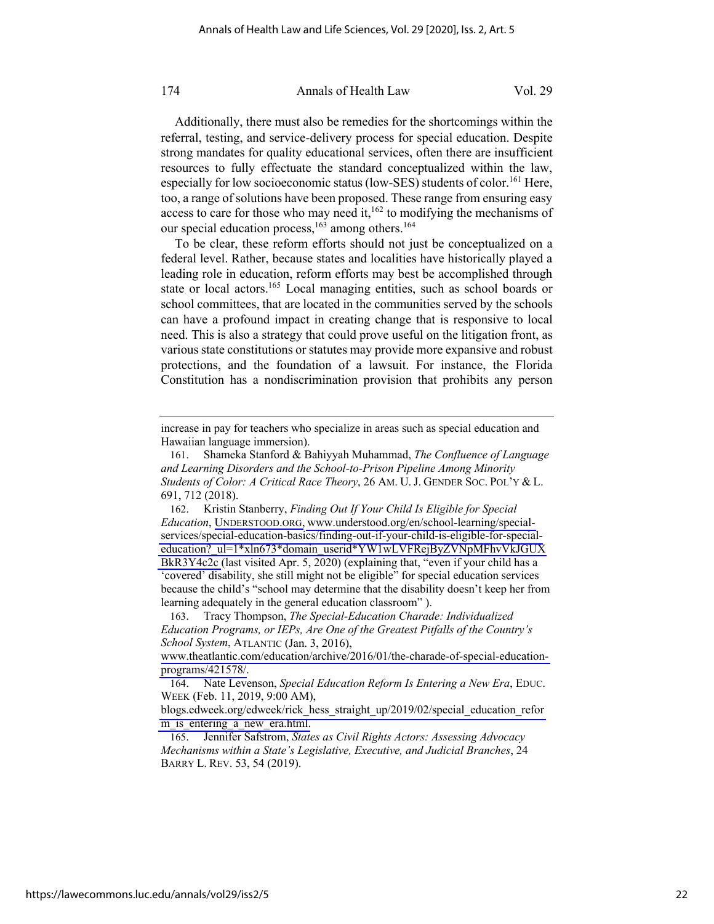Additionally, there must also be remedies for the shortcomings within the referral, testing, and service-delivery process for special education. Despite strong mandates for quality educational services, often there are insufficient resources to fully effectuate the standard conceptualized within the law, especially for low socioeconomic status (low-SES) students of color.<sup>161</sup> Here, too, a range of solutions have been proposed. These range from ensuring easy access to care for those who may need it, $162$  to modifying the mechanisms of our special education process,  $163$  among others.<sup>164</sup>

To be clear, these reform efforts should not just be conceptualized on a federal level. Rather, because states and localities have historically played a leading role in education, reform efforts may best be accomplished through state or local actors.<sup>165</sup> Local managing entities, such as school boards or school committees, that are located in the communities served by the schools can have a profound impact in creating change that is responsive to local need. This is also a strategy that could prove useful on the litigation front, as various state constitutions or statutes may provide more expansive and robust protections, and the foundation of a lawsuit. For instance, the Florida Constitution has a nondiscrimination provision that prohibits any person

increase in pay for teachers who specialize in areas such as special education and Hawaiian language immersion).

<sup>161.</sup> Shameka Stanford & Bahiyyah Muhammad, *The Confluence of Language and Learning Disorders and the School-to-Prison Pipeline Among Minority Students of Color: A Critical Race Theory*, 26 AM. U. J. GENDER SOC. POL'Y & L. 691, 712 (2018).

<sup>162.</sup> Kristin Stanberry, *Finding Out If Your Child Is Eligible for Special Education*, [UNDERSTOOD.ORG,](http://UNDERSTOOD.ORG) [www.understood.org/en/school-learning/special](http://www.understood.org/en/school-learning/special-services/special-education-basics/finding-out-if-your-child-is-eligible-for-special-education?_ul=1*xln673*domain_userid*YW1wLVFRejByZVNpMFhvVkJGUXBkR3Y4c2c)[services/special-education-basics/finding-out-if-your-child-is-eligible-for-special](http://www.understood.org/en/school-learning/special-services/special-education-basics/finding-out-if-your-child-is-eligible-for-special-education?_ul=1*xln673*domain_userid*YW1wLVFRejByZVNpMFhvVkJGUXBkR3Y4c2c)[education?\\_ul=1\\*xln673\\*domain\\_userid\\*YW1wLVFRejByZVNpMFhvVkJGUX](http://www.understood.org/en/school-learning/special-services/special-education-basics/finding-out-if-your-child-is-eligible-for-special-education?_ul=1*xln673*domain_userid*YW1wLVFRejByZVNpMFhvVkJGUXBkR3Y4c2c) [BkR3Y4c2c](http://www.understood.org/en/school-learning/special-services/special-education-basics/finding-out-if-your-child-is-eligible-for-special-education?_ul=1*xln673*domain_userid*YW1wLVFRejByZVNpMFhvVkJGUXBkR3Y4c2c) (last visited Apr. 5, 2020) (explaining that, "even if your child has a 'covered' disability, she still might not be eligible" for special education services because the child's "school may determine that the disability doesn't keep her from learning adequately in the general education classroom" ).

<sup>163.</sup> Tracy Thompson, *The Special-Education Charade: Individualized Education Programs, or IEPs, Are One of the Greatest Pitfalls of the Country's School System*, ATLANTIC (Jan. 3, 2016),

[www.theatlantic.com/education/archive/2016/01/the-charade-of-special-education](http://www.theatlantic.com/education/archive/2016/01/the-charade-of-special-education-programs/421578/)[programs/421578/.](http://www.theatlantic.com/education/archive/2016/01/the-charade-of-special-education-programs/421578/)

<sup>164.</sup> Nate Levenson, *Special Education Reform Is Entering a New Era*, EDUC. WEEK (Feb. 11, 2019, 9:00 AM),

[blogs.edweek.org/edweek/rick\\_hess\\_straight\\_up/2019/02/special\\_education\\_refor](http://blogs.edweek.org/edweek/rick_hess_straight_up/2019/02/special_education_reform_is_entering_a_new_era.html) m is entering a new era.html.

<sup>165.</sup> Jennifer Safstrom, *States as Civil Rights Actors: Assessing Advocacy Mechanisms within a State's Legislative, Executive, and Judicial Branches*, 24 BARRY L. REV. 53, 54 (2019).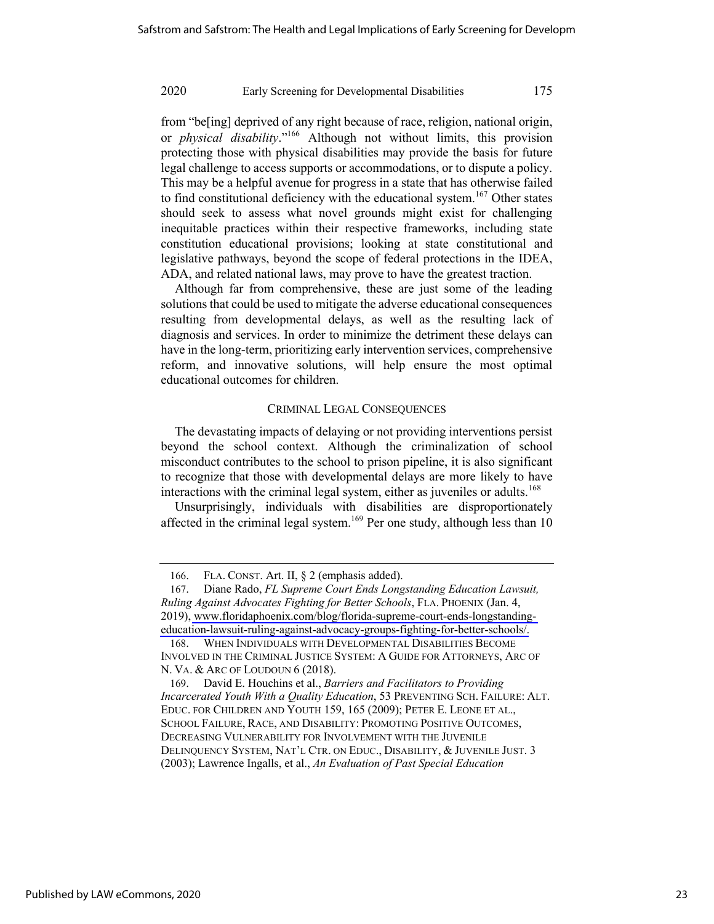from "be[ing] deprived of any right because of race, religion, national origin, or *physical disability*."166 Although not without limits, this provision protecting those with physical disabilities may provide the basis for future legal challenge to access supports or accommodations, or to dispute a policy. This may be a helpful avenue for progress in a state that has otherwise failed to find constitutional deficiency with the educational system.<sup>167</sup> Other states should seek to assess what novel grounds might exist for challenging inequitable practices within their respective frameworks, including state constitution educational provisions; looking at state constitutional and legislative pathways, beyond the scope of federal protections in the IDEA, ADA, and related national laws, may prove to have the greatest traction.

Although far from comprehensive, these are just some of the leading solutions that could be used to mitigate the adverse educational consequences resulting from developmental delays, as well as the resulting lack of diagnosis and services. In order to minimize the detriment these delays can have in the long-term, prioritizing early intervention services, comprehensive reform, and innovative solutions, will help ensure the most optimal educational outcomes for children.

#### CRIMINAL LEGAL CONSEQUENCES

The devastating impacts of delaying or not providing interventions persist beyond the school context. Although the criminalization of school misconduct contributes to the school to prison pipeline, it is also significant to recognize that those with developmental delays are more likely to have interactions with the criminal legal system, either as juveniles or adults.<sup>168</sup>

Unsurprisingly, individuals with disabilities are disproportionately affected in the criminal legal system.<sup>169</sup> Per one study, although less than 10

<sup>166.</sup> FLA. CONST. Art. II, § 2 (emphasis added).

<sup>167.</sup> Diane Rado, *FL Supreme Court Ends Longstanding Education Lawsuit, Ruling Against Advocates Fighting for Better Schools*, FLA. PHOENIX (Jan. 4, 2019), [www.floridaphoenix.com/blog/florida-supreme-court-ends-longstanding](http://www.floridaphoenix.com/blog/florida-supreme-court-ends-longstanding-education-lawsuit-ruling-against-advocacy-groups-fighting-for-better-schools/)[education-lawsuit-ruling-against-advocacy-groups-fighting-for-better-schools/.](http://www.floridaphoenix.com/blog/florida-supreme-court-ends-longstanding-education-lawsuit-ruling-against-advocacy-groups-fighting-for-better-schools/)

<sup>168.</sup> WHEN INDIVIDUALS WITH DEVELOPMENTAL DISABILITIES BECOME INVOLVED IN THE CRIMINAL JUSTICE SYSTEM: A GUIDE FOR ATTORNEYS, ARC OF N. VA. & ARC OF LOUDOUN 6 (2018).

<sup>169.</sup> David E. Houchins et al., *Barriers and Facilitators to Providing Incarcerated Youth With a Quality Education*, 53 PREVENTING SCH. FAILURE: ALT. EDUC. FOR CHILDREN AND YOUTH 159, 165 (2009); PETER E. LEONE ET AL., SCHOOL FAILURE, RACE, AND DISABILITY: PROMOTING POSITIVE OUTCOMES, DECREASING VULNERABILITY FOR INVOLVEMENT WITH THE JUVENILE DELINQUENCY SYSTEM, NAT'L CTR. ON EDUC., DISABILITY, & JUVENILE JUST. 3 (2003); Lawrence Ingalls, et al., *An Evaluation of Past Special Education*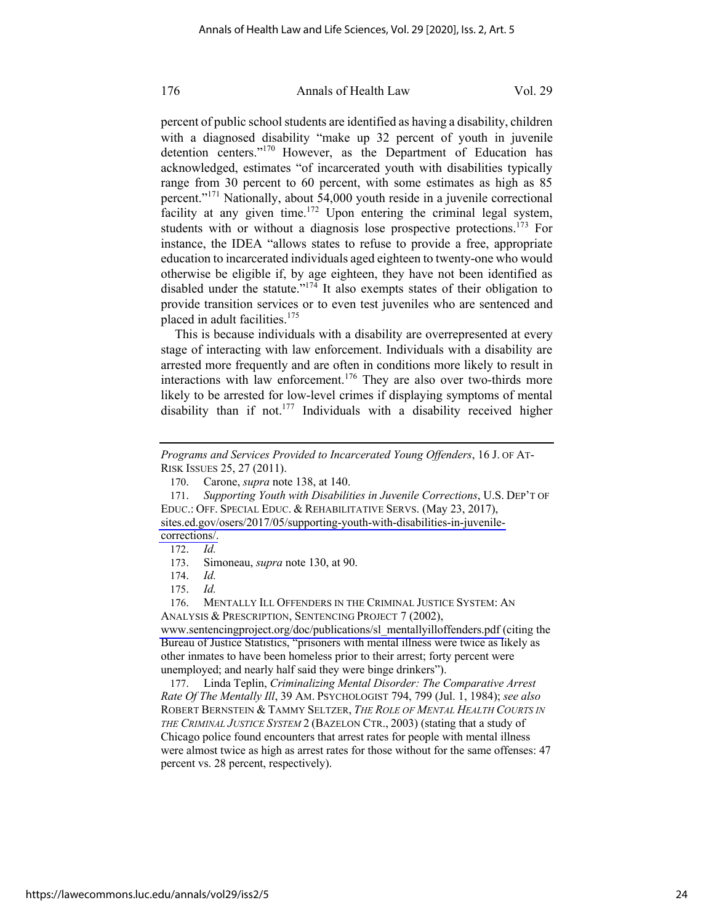percent of public school students are identified as having a disability, children with a diagnosed disability "make up 32 percent of youth in juvenile detention centers."170 However, as the Department of Education has acknowledged, estimates "of incarcerated youth with disabilities typically range from 30 percent to 60 percent, with some estimates as high as 85 percent."<sup>171</sup> Nationally, about 54,000 youth reside in a juvenile correctional facility at any given time.<sup>172</sup> Upon entering the criminal legal system, students with or without a diagnosis lose prospective protections.<sup>173</sup> For instance, the IDEA "allows states to refuse to provide a free, appropriate education to incarcerated individuals aged eighteen to twenty-one who would otherwise be eligible if, by age eighteen, they have not been identified as disabled under the statute."<sup>174</sup> It also exempts states of their obligation to provide transition services or to even test juveniles who are sentenced and placed in adult facilities.<sup>175</sup>

This is because individuals with a disability are overrepresented at every stage of interacting with law enforcement. Individuals with a disability are arrested more frequently and are often in conditions more likely to result in interactions with law enforcement.<sup>176</sup> They are also over two-thirds more likely to be arrested for low-level crimes if displaying symptoms of mental disability than if not.<sup>177</sup> Individuals with a disability received higher

173. Simoneau, *supra* note 130, at 90.

176. MENTALLY ILL OFFENDERS IN THE CRIMINAL JUSTICE SYSTEM: AN ANALYSIS & PRESCRIPTION, SENTENCING PROJECT 7 (2002),

[www.sentencingproject.org/doc/publications/sl\\_mentallyilloffenders.pdf \(](http://www.sentencingproject.org/doc/publications/sl_mentallyilloffenders.pdf)citing the Bureau of Justice Statistics, "prisoners with mental illness were twice as likely as other inmates to have been homeless prior to their arrest; forty percent were unemployed; and nearly half said they were binge drinkers").

177. Linda Teplin, *Criminalizing Mental Disorder: The Comparative Arrest Rate Of The Mentally Ill*, 39 AM. PSYCHOLOGIST 794, 799 (Jul. 1, 1984); *see also* ROBERT BERNSTEIN & TAMMY SELTZER, *THE ROLE OF MENTAL HEALTH COURTS IN THE CRIMINAL JUSTICE SYSTEM* 2 (BAZELON CTR., 2003) (stating that a study of Chicago police found encounters that arrest rates for people with mental illness were almost twice as high as arrest rates for those without for the same offenses: 47 percent vs. 28 percent, respectively).

*Programs and Services Provided to Incarcerated Young Offenders*, 16 J. OF AT-RISK ISSUES 25, 27 (2011).

<sup>170.</sup> Carone, *supra* note 138, at 140.

<sup>171.</sup> *Supporting Youth with Disabilities in Juvenile Corrections*, U.S. DEP'T OF EDUC.: OFF. SPECIAL EDUC. & REHABILITATIVE SERVS. (May 23, 2017), [sites.ed.gov/osers/2017/05/supporting-youth-with-disabilities-in-juvenile](http://sites.ed.gov/osers/2017/05/supporting-youth-with-disabilities-in-juvenile-corrections/)[corrections/.](http://sites.ed.gov/osers/2017/05/supporting-youth-with-disabilities-in-juvenile-corrections/)

<sup>172.</sup> *Id.*

<sup>174.</sup> *Id.*

<sup>175.</sup> *Id.*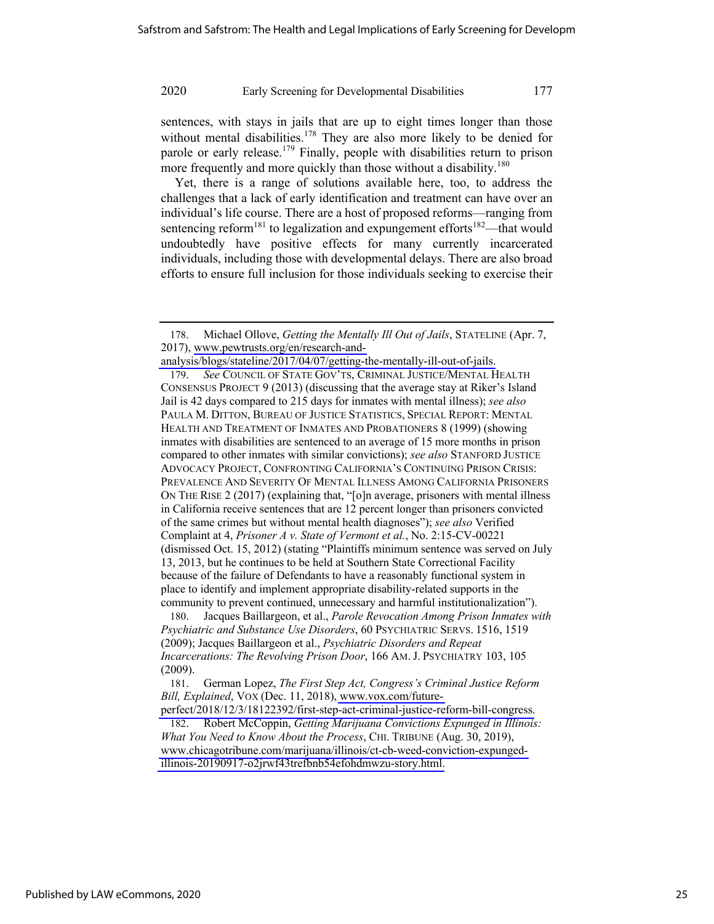sentences, with stays in jails that are up to eight times longer than those without mental disabilities.<sup>178</sup> They are also more likely to be denied for parole or early release.<sup>179</sup> Finally, people with disabilities return to prison more frequently and more quickly than those without a disability.<sup>180</sup>

Yet, there is a range of solutions available here, too, to address the challenges that a lack of early identification and treatment can have over an individual's life course. There are a host of proposed reforms—ranging from sentencing reform<sup>181</sup> to legalization and expungement efforts<sup>182</sup>—that would undoubtedly have positive effects for many currently incarcerated individuals, including those with developmental delays. There are also broad efforts to ensure full inclusion for those individuals seeking to exercise their

<sup>178.</sup> Michael Ollove, *Getting the Mentally Ill Out of Jails*, STATELINE (Apr. 7, 2017), [www.pewtrusts.org/en/research-and-](http://www.pewtrusts.org/en/research-and-analysis/blogs/stateline/2017/04/07/getting-the-mentally-ill-out-of-jails)

[analysis/blogs/stateline/2017/04/07/getting-the-mentally-ill-out-of-jails.](http://www.pewtrusts.org/en/research-and-analysis/blogs/stateline/2017/04/07/getting-the-mentally-ill-out-of-jails)

<sup>179.</sup> *See* COUNCIL OF STATE GOV'TS, CRIMINAL JUSTICE/MENTAL HEALTH CONSENSUS PROJECT 9 (2013) (discussing that the average stay at Riker's Island Jail is 42 days compared to 215 days for inmates with mental illness); *see also*  PAULA M. DITTON, BUREAU OF JUSTICE STATISTICS, SPECIAL REPORT: MENTAL HEALTH AND TREATMENT OF INMATES AND PROBATIONERS 8 (1999) (showing inmates with disabilities are sentenced to an average of 15 more months in prison compared to other inmates with similar convictions); *see also* STANFORD JUSTICE ADVOCACY PROJECT, CONFRONTING CALIFORNIA'S CONTINUING PRISON CRISIS: PREVALENCE AND SEVERITY OF MENTAL ILLNESS AMONG CALIFORNIA PRISONERS ON THE RISE 2 (2017) (explaining that, "[o]n average, prisoners with mental illness in California receive sentences that are 12 percent longer than prisoners convicted of the same crimes but without mental health diagnoses"); *see also* Verified Complaint at 4, *Prisoner A v. State of Vermont et al.*, No. 2:15-CV-00221 (dismissed Oct. 15, 2012) (stating "Plaintiffs minimum sentence was served on July 13, 2013, but he continues to be held at Southern State Correctional Facility because of the failure of Defendants to have a reasonably functional system in place to identify and implement appropriate disability-related supports in the community to prevent continued, unnecessary and harmful institutionalization").

<sup>180.</sup> Jacques Baillargeon, et al., *Parole Revocation Among Prison Inmates with Psychiatric and Substance Use Disorders*, 60 PSYCHIATRIC SERVS. 1516, 1519 (2009); Jacques Baillargeon et al., *Psychiatric Disorders and Repeat Incarcerations: The Revolving Prison Door*, 166 AM. J. PSYCHIATRY 103, 105 (2009).

<sup>181.</sup> German Lopez, *The First Step Act, Congress's Criminal Justice Reform Bill, Explained*, VOX (Dec. 11, 2018), [www.vox.com/future-](http://www.vox.com/future-perfect/2018/12/3/18122392/first-step-act-criminal-justice-reform-bill-congress)

[perfect/2018/12/3/18122392/first-step-act-criminal-justice-reform-bill-congress.](http://www.vox.com/future-perfect/2018/12/3/18122392/first-step-act-criminal-justice-reform-bill-congress) 182. Robert McCoppin, *Getting Marijuana Convictions Expunged in Illinois:* 

*What You Need to Know About the Process*, CHI. TRIBUNE (Aug. 30, 2019), [www.chicagotribune.com/marijuana/illinois/ct-cb-weed-conviction-expunged](http://www.chicagotribune.com/marijuana/illinois/ct-cb-weed-conviction-expunged-illinois-20190917-o2jrwf43trefbnb54efohdmwzu-story.html)[illinois-20190917-o2jrwf43trefbnb54efohdmwzu-story.html.](http://www.chicagotribune.com/marijuana/illinois/ct-cb-weed-conviction-expunged-illinois-20190917-o2jrwf43trefbnb54efohdmwzu-story.html)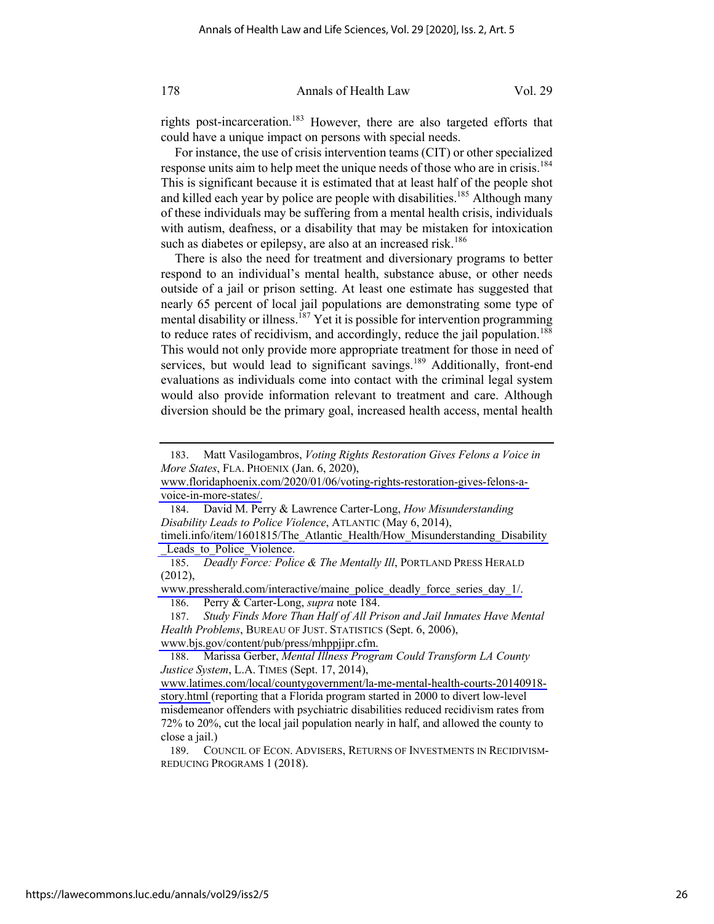rights post-incarceration.<sup>183</sup> However, there are also targeted efforts that could have a unique impact on persons with special needs.

For instance, the use of crisis intervention teams (CIT) or other specialized response units aim to help meet the unique needs of those who are in crisis.<sup>184</sup> This is significant because it is estimated that at least half of the people shot and killed each year by police are people with disabilities.<sup>185</sup> Although many of these individuals may be suffering from a mental health crisis, individuals with autism, deafness, or a disability that may be mistaken for intoxication such as diabetes or epilepsy, are also at an increased risk.<sup>186</sup>

There is also the need for treatment and diversionary programs to better respond to an individual's mental health, substance abuse, or other needs outside of a jail or prison setting. At least one estimate has suggested that nearly 65 percent of local jail populations are demonstrating some type of mental disability or illness.<sup>187</sup> Yet it is possible for intervention programming to reduce rates of recidivism, and accordingly, reduce the jail population.<sup>188</sup> This would not only provide more appropriate treatment for those in need of services, but would lead to significant savings.<sup>189</sup> Additionally, front-end evaluations as individuals come into contact with the criminal legal system would also provide information relevant to treatment and care. Although diversion should be the primary goal, increased health access, mental health

[www.pressherald.com/interactive/maine\\_police\\_deadly\\_force\\_series\\_day\\_1/.](http://www.pressherald.com/interactive/maine_police_deadly_force_series_day_1/)

186. Perry & Carter-Long, *supra* note 184.

188. Marissa Gerber, *Mental Illness Program Could Transform LA County Justice System*, L.A. TIMES (Sept. 17, 2014),

189. COUNCIL OF ECON. ADVISERS, RETURNS OF INVESTMENTS IN RECIDIVISM-REDUCING PROGRAMS 1 (2018).

<sup>183.</sup> Matt Vasilogambros, *Voting Rights Restoration Gives Felons a Voice in More States*, FLA. PHOENIX (Jan. 6, 2020),

[www.floridaphoenix.com/2020/01/06/voting-rights-restoration-gives-felons-a](http://www.floridaphoenix.com/2020/01/06/voting-rights-restoration-gives-felons-a-voice-in-more-states/)[voice-in-more-states/.](http://www.floridaphoenix.com/2020/01/06/voting-rights-restoration-gives-felons-a-voice-in-more-states/)

<sup>184.</sup> David M. Perry & Lawrence Carter-Long, *How Misunderstanding Disability Leads to Police Violence*, ATLANTIC (May 6, 2014),

[timeli.info/item/1601815/The\\_Atlantic\\_Health/How\\_Misunderstanding\\_Disability](http://timeli.info/item/1601815/The_Atlantic_Health/How_Misunderstanding_Disability_Leads_to_Police_Violence) Leads to Police Violence.

<sup>185.</sup> *Deadly Force: Police & The Mentally Ill*, PORTLAND PRESS HERALD (2012),

<sup>187.</sup> *Study Finds More Than Half of All Prison and Jail Inmates Have Mental Health Problems*, BUREAU OF JUST. STATISTICS (Sept. 6, 2006), [www.bjs.gov/content/pub/press/mhppjipr.cfm.](http://www.bjs.gov/content/pub/press/mhppjipr.cfm)

[www.latimes.com/local/countygovernment/la-me-mental-health-courts-20140918](http://www.latimes.com/local/countygovernment/la-me-mental-health-courts-20140918-story.html) [story.html](http://www.latimes.com/local/countygovernment/la-me-mental-health-courts-20140918-story.html) (reporting that a Florida program started in 2000 to divert low-level misdemeanor offenders with psychiatric disabilities reduced recidivism rates from 72% to 20%, cut the local jail population nearly in half, and allowed the county to close a jail.)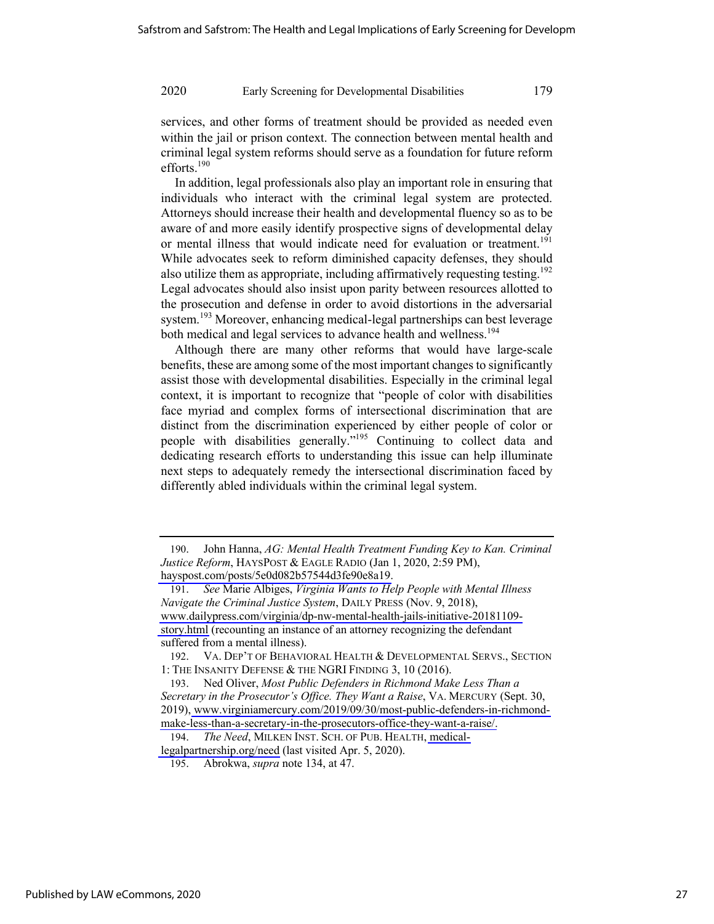services, and other forms of treatment should be provided as needed even within the jail or prison context. The connection between mental health and criminal legal system reforms should serve as a foundation for future reform efforts.190

In addition, legal professionals also play an important role in ensuring that individuals who interact with the criminal legal system are protected. Attorneys should increase their health and developmental fluency so as to be aware of and more easily identify prospective signs of developmental delay or mental illness that would indicate need for evaluation or treatment.<sup>191</sup> While advocates seek to reform diminished capacity defenses, they should also utilize them as appropriate, including affirmatively requesting testing.<sup>192</sup> Legal advocates should also insist upon parity between resources allotted to the prosecution and defense in order to avoid distortions in the adversarial system.<sup>193</sup> Moreover, enhancing medical-legal partnerships can best leverage both medical and legal services to advance health and wellness.<sup>194</sup>

Although there are many other reforms that would have large-scale benefits, these are among some of the most important changes to significantly assist those with developmental disabilities. Especially in the criminal legal context, it is important to recognize that "people of color with disabilities face myriad and complex forms of intersectional discrimination that are distinct from the discrimination experienced by either people of color or people with disabilities generally."195 Continuing to collect data and dedicating research efforts to understanding this issue can help illuminate next steps to adequately remedy the intersectional discrimination faced by differently abled individuals within the criminal legal system.

194. *The Need*, MILKEN INST. SCH. OF PUB. HEALTH, [medical-](http://medical-legalpartnership.org/need)

<sup>190.</sup> John Hanna, *AG: Mental Health Treatment Funding Key to Kan. Criminal Justice Reform*, HAYSPOST & EAGLE RADIO (Jan 1, 2020, 2:59 PM), [hayspost.com/posts/5e0d082b57544d3fe90e8a19.](http://hayspost.com/posts/5e0d082b57544d3fe90e8a19)

<sup>191.</sup> *See* Marie Albiges, *Virginia Wants to Help People with Mental Illness Navigate the Criminal Justice System*, DAILY PRESS (Nov. 9, 2018), [www.dailypress.com/virginia/dp-nw-mental-health-jails-initiative-20181109](http://www.dailypress.com/virginia/dp-nw-mental-health-jails-initiative-20181109-story.html) [story.html](http://www.dailypress.com/virginia/dp-nw-mental-health-jails-initiative-20181109-story.html) (recounting an instance of an attorney recognizing the defendant suffered from a mental illness).

<sup>192.</sup> VA. DEP'T OF BEHAVIORAL HEALTH & DEVELOPMENTAL SERVS., SECTION 1: THE INSANITY DEFENSE & THE NGRI FINDING 3, 10 (2016).

<sup>193.</sup> Ned Oliver, *Most Public Defenders in Richmond Make Less Than a Secretary in the Prosecutor's Office. They Want a Raise*, VA. MERCURY (Sept. 30, 2019), [www.virginiamercury.com/2019/09/30/most-public-defenders-in-richmond](http://www.virginiamercury.com/2019/09/30/most-public-defenders-in-richmond-make-less-than-a-secretary-in-the-prosecutors-office-they-want-a-raise/)[make-less-than-a-secretary-in-the-prosecutors-office-they-want-a-raise/.](http://www.virginiamercury.com/2019/09/30/most-public-defenders-in-richmond-make-less-than-a-secretary-in-the-prosecutors-office-they-want-a-raise/)

[legalpartnership.org/need](http://medical-legalpartnership.org/need) (last visited Apr. 5, 2020).

<sup>195.</sup> Abrokwa, *supra* note 134, at 47.